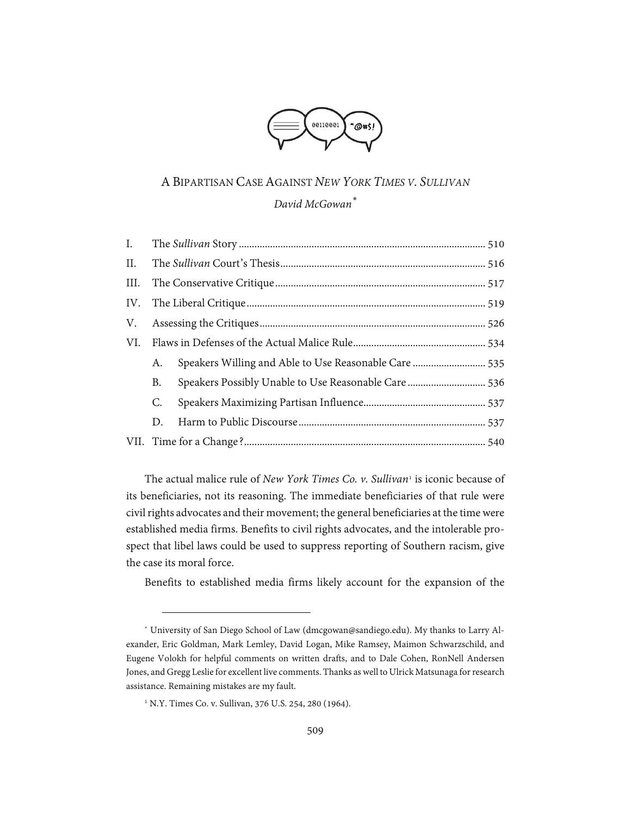

# A BIPARTISAN CASE AGAINST *NEW YORK TIMES V. SULLIVAN*

## *David McGowan[\\*](#page-0-0)*

| $I_{\cdot}$ |    |                                                       |  |
|-------------|----|-------------------------------------------------------|--|
| II.         |    |                                                       |  |
|             |    |                                                       |  |
|             |    |                                                       |  |
| V.          |    |                                                       |  |
| VI.         |    |                                                       |  |
|             | А. | Speakers Willing and Able to Use Reasonable Care  535 |  |
|             | B. | Speakers Possibly Unable to Use Reasonable Care 536   |  |
|             | C. |                                                       |  |
|             | D. |                                                       |  |
|             |    |                                                       |  |

The actual malice rule of *New York Times Co. v. Sullivan*[1](#page-0-1) is iconic because of its beneficiaries, not its reasoning. The immediate beneficiaries of that rule were civil rights advocates and their movement; the general beneficiaries at the time were established media firms. Benefits to civil rights advocates, and the intolerable prospect that libel laws could be used to suppress reporting of Southern racism, give the case its moral force.

Benefits to established media firms likely account for the expansion of the

<span id="page-0-0"></span><sup>\*</sup> University of San Diego School of Law (dmcgowan@sandiego.edu). My thanks to Larry Alexander, Eric Goldman, Mark Lemley, David Logan, Mike Ramsey, Maimon Schwarzschild, and Eugene Volokh for helpful comments on written drafts, and to Dale Cohen, RonNell Andersen Jones, and Gregg Leslie for excellent live comments. Thanks as well to Ulrick Matsunaga for research assistance. Remaining mistakes are my fault.

<span id="page-0-1"></span><sup>&</sup>lt;sup>1</sup> N.Y. Times Co. v. Sullivan, 376 U.S. 254, 280 (1964).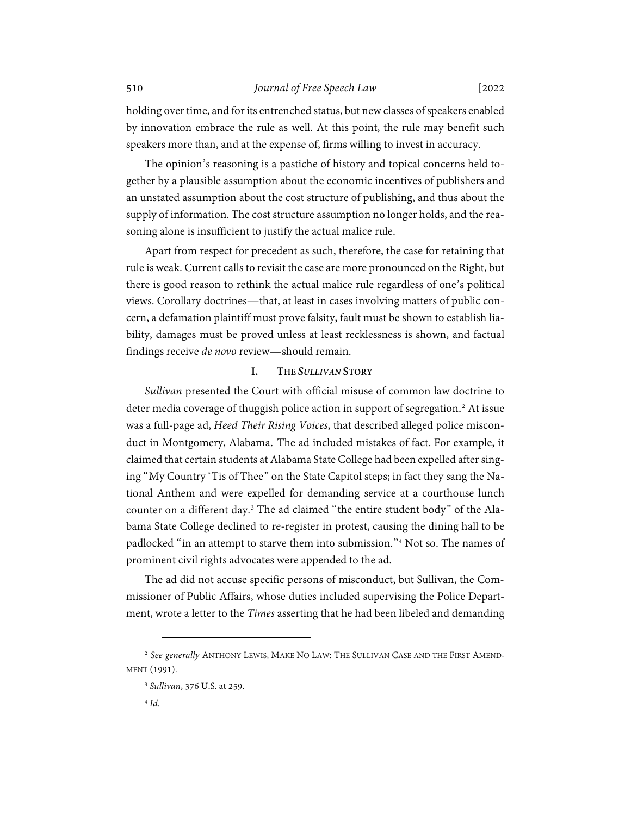holding over time, and for its entrenched status, but new classes of speakers enabled by innovation embrace the rule as well. At this point, the rule may benefit such speakers more than, and at the expense of, firms willing to invest in accuracy.

The opinion's reasoning is a pastiche of history and topical concerns held together by a plausible assumption about the economic incentives of publishers and an unstated assumption about the cost structure of publishing, and thus about the supply of information. The cost structure assumption no longer holds, and the reasoning alone is insufficient to justify the actual malice rule.

Apart from respect for precedent as such, therefore, the case for retaining that rule is weak. Current calls to revisit the case are more pronounced on the Right, but there is good reason to rethink the actual malice rule regardless of one's political views. Corollary doctrines—that, at least in cases involving matters of public concern, a defamation plaintiff must prove falsity, fault must be shown to establish liability, damages must be proved unless at least recklessness is shown, and factual findings receive *de novo* review—should remain.

## <span id="page-1-4"></span>**I. THE** *SULLIVAN* **STORY**

<span id="page-1-0"></span>*Sullivan* presented the Court with official misuse of common law doctrine to deter media coverage of thuggish police action in support of segregation. [2](#page-1-1) At issue was a full-page ad, *Heed Their Rising Voices*, that described alleged police misconduct in Montgomery, Alabama. The ad included mistakes of fact. For example, it claimed that certain students at Alabama State College had been expelled after singing "My Country 'Tis of Thee" on the State Capitol steps; in fact they sang the National Anthem and were expelled for demanding service at a courthouse lunch counter on a different day[.3](#page-1-2) The ad claimed "the entire student body" of the Alabama State College declined to re-register in protest, causing the dining hall to be padlocked "in an attempt to starve them into submission."[4](#page-1-3) Not so. The names of prominent civil rights advocates were appended to the ad.

The ad did not accuse specific persons of misconduct, but Sullivan, the Commissioner of Public Affairs, whose duties included supervising the Police Department, wrote a letter to the *Times* asserting that he had been libeled and demanding

<span id="page-1-3"></span><span id="page-1-2"></span><span id="page-1-1"></span><sup>2</sup> *See generally* ANTHONY LEWIS, MAKE NO LAW: THE SULLIVAN CASE AND THE FIRST AMEND-MENT (1991).

<sup>3</sup> *Sullivan*, 376 U.S. at 259.

<sup>4</sup> *Id*.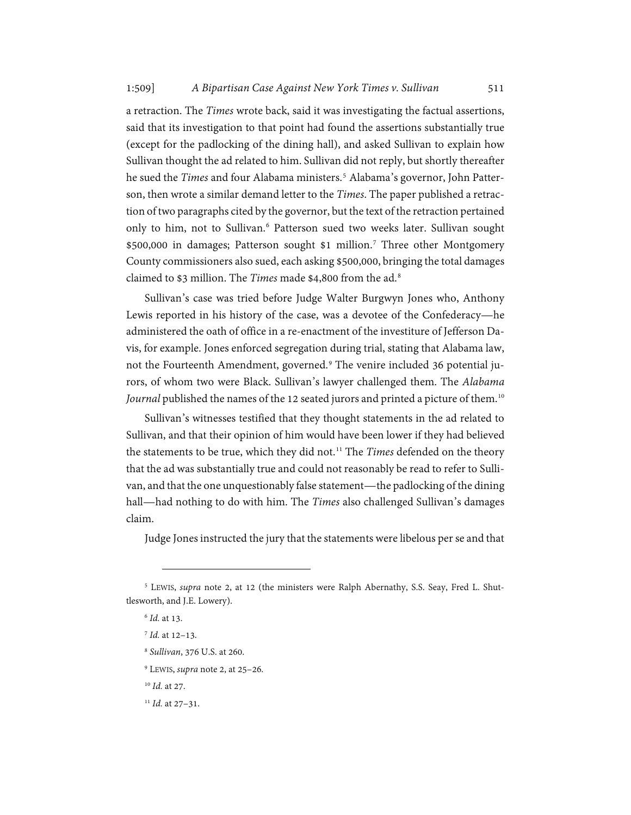a retraction. The *Times* wrote back, said it was investigating the factual assertions, said that its investigation to that point had found the assertions substantially true (except for the padlocking of the dining hall), and asked Sullivan to explain how Sullivan thought the ad related to him. Sullivan did not reply, but shortly thereafter he sued the *Times* and four Alabama ministers. [5](#page-2-0) Alabama's governor, John Patterson, then wrote a similar demand letter to the *Times*. The paper published a retraction of two paragraphs cited by the governor, but the text of the retraction pertained only to him, not to Sullivan. [6](#page-2-1) Patterson sued two weeks later. Sullivan sought \$500,000 in damages; Patterson sought \$1 million.<sup>[7](#page-2-2)</sup> Three other Montgomery County commissioners also sued, each asking \$500,000, bringing the total damages claimed to \$3 million. The *Times* made \$4,800 from the ad.[8](#page-2-3)

Sullivan's case was tried before Judge Walter Burgwyn Jones who, Anthony Lewis reported in his history of the case, was a devotee of the Confederacy—he administered the oath of office in a re-enactment of the investiture of Jefferson Davis, for example. Jones enforced segregation during trial, stating that Alabama law, not the Fourteenth Amendment, governed.<sup>[9](#page-2-4)</sup> The venire included 36 potential jurors, of whom two were Black. Sullivan's lawyer challenged them. The *Alabama Journal* published the names of the 12 seated jurors and printed a picture of them.[10](#page-2-5)

Sullivan's witnesses testified that they thought statements in the ad related to Sullivan, and that their opinion of him would have been lower if they had believed the statements to be true, which they did not.<sup>[11](#page-2-6)</sup> The *Times* defended on the theory that the ad was substantially true and could not reasonably be read to refer to Sullivan, and that the one unquestionably false statement—the padlocking of the dining hall—had nothing to do with him. The *Times* also challenged Sullivan's damages claim.

Judge Jones instructed the jury that the statements were libelous per se and that

<span id="page-2-3"></span><span id="page-2-2"></span><span id="page-2-1"></span><span id="page-2-0"></span><sup>5</sup> LEWIS, *supra* note [2,](#page-1-4) at 12 (the ministers were Ralph Abernathy, S.S. Seay, Fred L. Shuttlesworth, and J.E. Lowery).

<sup>6</sup> *Id.* at 13.

<sup>7</sup> *Id.* at 12–13.

<sup>8</sup> *Sullivan*, 376 U.S. at 260.

<span id="page-2-4"></span><sup>9</sup> LEWIS, *supra* note [2,](#page-1-4) at 25–26.

<span id="page-2-5"></span><sup>10</sup> *Id.* at 27.

<span id="page-2-6"></span><sup>11</sup> *Id.* at 27–31.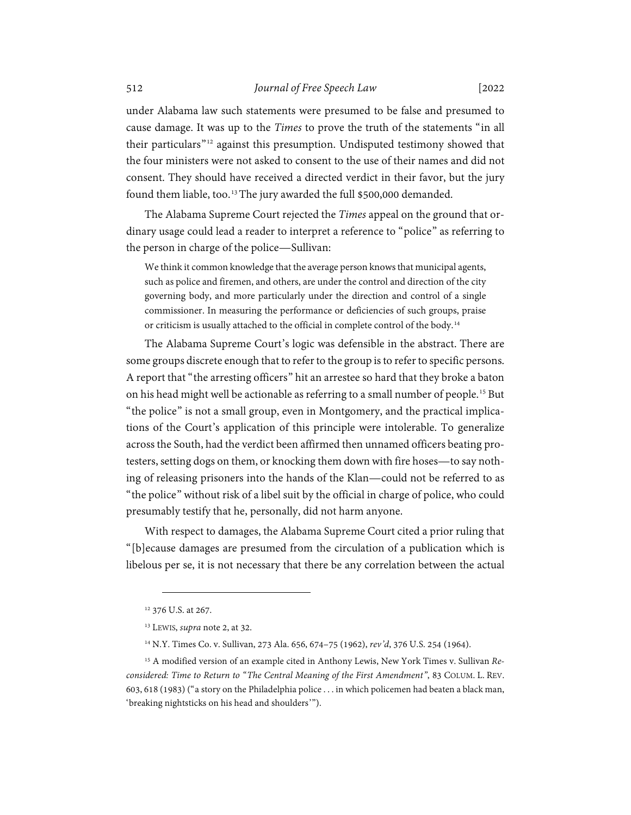under Alabama law such statements were presumed to be false and presumed to cause damage. It was up to the *Times* to prove the truth of the statements "in all their particulars"[12](#page-3-0) against this presumption. Undisputed testimony showed that the four ministers were not asked to consent to the use of their names and did not consent. They should have received a directed verdict in their favor, but the jury found them liable, too.<sup>[13](#page-3-1)</sup>The jury awarded the full \$500,000 demanded.

The Alabama Supreme Court rejected the *Times* appeal on the ground that ordinary usage could lead a reader to interpret a reference to "police" as referring to the person in charge of the police—Sullivan:

We think it common knowledge that the average person knows that municipal agents, such as police and firemen, and others, are under the control and direction of the city governing body, and more particularly under the direction and control of a single commissioner. In measuring the performance or deficiencies of such groups, praise or criticism is usually attached to the official in complete control of the body.[14](#page-3-2)

The Alabama Supreme Court's logic was defensible in the abstract. There are some groups discrete enough that to refer to the group is to refer to specific persons. A report that "the arresting officers" hit an arrestee so hard that they broke a baton on his head might well be actionable as referring to a small number of people.<sup>[15](#page-3-3)</sup> But "the police" is not a small group, even in Montgomery, and the practical implications of the Court's application of this principle were intolerable. To generalize across the South, had the verdict been affirmed then unnamed officers beating protesters, setting dogs on them, or knocking them down with fire hoses—to say nothing of releasing prisoners into the hands of the Klan—could not be referred to as "the police" without risk of a libel suit by the official in charge of police, who could presumably testify that he, personally, did not harm anyone.

With respect to damages, the Alabama Supreme Court cited a prior ruling that "[b]ecause damages are presumed from the circulation of a publication which is libelous per se, it is not necessary that there be any correlation between the actual

<sup>&</sup>lt;sup>12</sup> 376 U.S. at 267.

<sup>13</sup> LEWIS, *supra* note [2,](#page-1-4) at 32.

<sup>14</sup> N.Y. Times Co. v. Sullivan, 273 Ala. 656, 674–75 (1962), *rev'd*, 376 U.S. 254 (1964).

<span id="page-3-3"></span><span id="page-3-2"></span><span id="page-3-1"></span><span id="page-3-0"></span><sup>15</sup> A modified version of an example cited in Anthony Lewis, New York Times v. Sullivan *Reconsidered: Time to Return to "The Central Meaning of the First Amendment"*, 83 COLUM. L. REV. 603, 618 (1983) ("a story on the Philadelphia police . . . in which policemen had beaten a black man, 'breaking nightsticks on his head and shoulders'").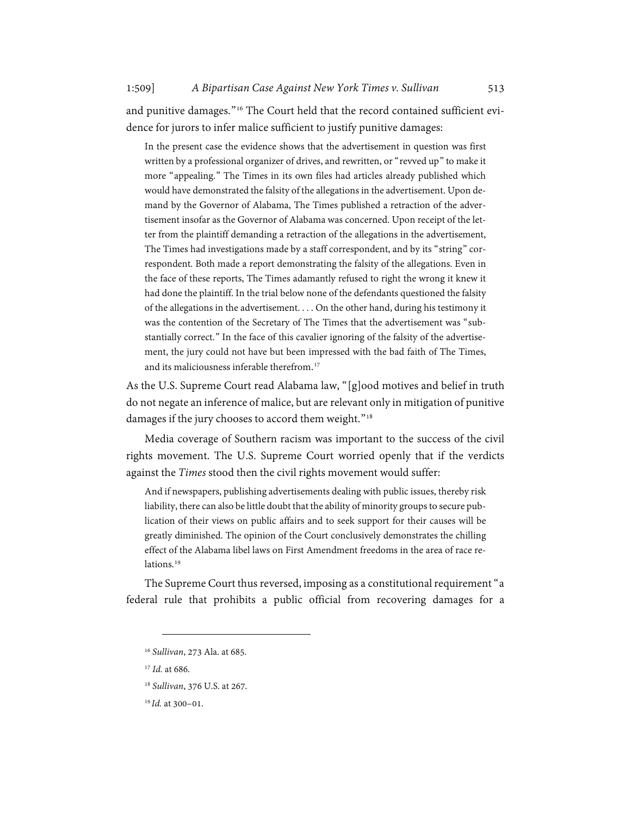and punitive damages."<sup>[16](#page-4-0)</sup> The Court held that the record contained sufficient evidence for jurors to infer malice sufficient to justify punitive damages:

In the present case the evidence shows that the advertisement in question was first written by a professional organizer of drives, and rewritten, or "revved up" to make it more "appealing." The Times in its own files had articles already published which would have demonstrated the falsity of the allegations in the advertisement. Upon demand by the Governor of Alabama, The Times published a retraction of the advertisement insofar as the Governor of Alabama was concerned. Upon receipt of the letter from the plaintiff demanding a retraction of the allegations in the advertisement, The Times had investigations made by a staff correspondent, and by its "string" correspondent. Both made a report demonstrating the falsity of the allegations. Even in the face of these reports, The Times adamantly refused to right the wrong it knew it had done the plaintiff. In the trial below none of the defendants questioned the falsity of the allegations in the advertisement. . . . On the other hand, during his testimony it was the contention of the Secretary of The Times that the advertisement was "substantially correct." In the face of this cavalier ignoring of the falsity of the advertisement, the jury could not have but been impressed with the bad faith of The Times, and its maliciousness inferable therefrom. [17](#page-4-1)

As the U.S. Supreme Court read Alabama law, "[g]ood motives and belief in truth do not negate an inference of malice, but are relevant only in mitigation of punitive damages if the jury chooses to accord them weight."<sup>[18](#page-4-2)</sup>

Media coverage of Southern racism was important to the success of the civil rights movement. The U.S. Supreme Court worried openly that if the verdicts against the *Times* stood then the civil rights movement would suffer:

And if newspapers, publishing advertisements dealing with public issues, thereby risk liability, there can also be little doubt that the ability of minority groups to secure publication of their views on public affairs and to seek support for their causes will be greatly diminished. The opinion of the Court conclusively demonstrates the chilling effect of the Alabama libel laws on First Amendment freedoms in the area of race relations.<sup>19</sup>

<span id="page-4-0"></span>The Supreme Court thus reversed, imposing as a constitutional requirement "a federal rule that prohibits a public official from recovering damages for a

<sup>16</sup> *Sullivan*, 273 Ala. at 685.

<span id="page-4-1"></span><sup>17</sup> *Id.* at 686.

<span id="page-4-2"></span><sup>18</sup> *Sullivan*, 376 U.S. at 267.

<span id="page-4-3"></span><sup>19</sup> *Id.* at 300–01.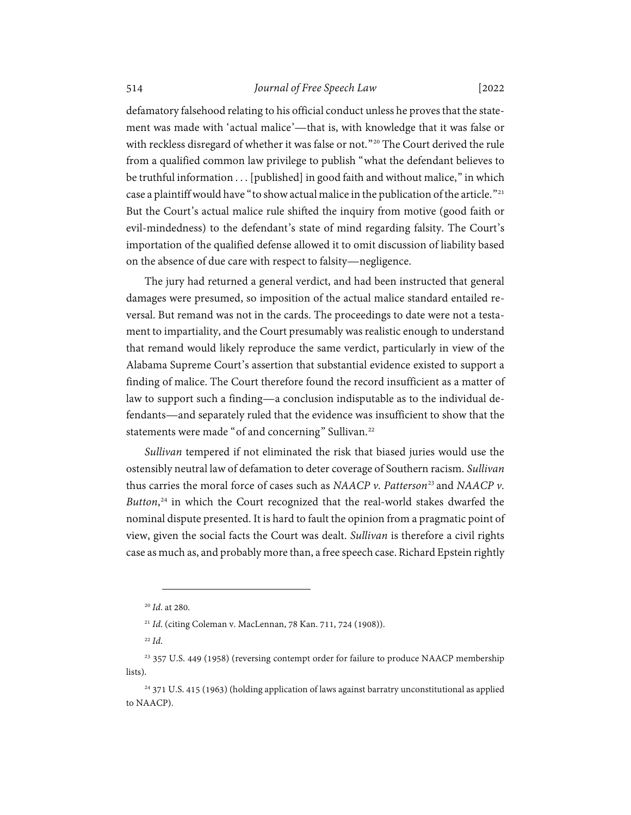defamatory falsehood relating to his official conduct unless he proves that the statement was made with 'actual malice'—that is, with knowledge that it was false or with reckless disregard of whether it was false or not."<sup>[20](#page-5-0)</sup> The Court derived the rule from a qualified common law privilege to publish "what the defendant believes to be truthful information . . . [published] in good faith and without malice," in which case a plaintiff would have "to show actual malice in the publication of the article."<sup>[21](#page-5-1)</sup> But the Court's actual malice rule shifted the inquiry from motive (good faith or evil-mindedness) to the defendant's state of mind regarding falsity. The Court's importation of the qualified defense allowed it to omit discussion of liability based on the absence of due care with respect to falsity—negligence.

The jury had returned a general verdict, and had been instructed that general damages were presumed, so imposition of the actual malice standard entailed reversal. But remand was not in the cards. The proceedings to date were not a testament to impartiality, and the Court presumably was realistic enough to understand that remand would likely reproduce the same verdict, particularly in view of the Alabama Supreme Court's assertion that substantial evidence existed to support a finding of malice. The Court therefore found the record insufficient as a matter of law to support such a finding—a conclusion indisputable as to the individual defendants—and separately ruled that the evidence was insufficient to show that the statements were made "of and concerning" Sullivan.<sup>[22](#page-5-2)</sup>

*Sullivan* tempered if not eliminated the risk that biased juries would use the ostensibly neutral law of defamation to deter coverage of Southern racism. *Sullivan* thus carries the moral force of cases such as *NAACP v. Patterson*<sup>[23](#page-5-3)</sup> and *NAACP v. Button*, [24](#page-5-4) in which the Court recognized that the real-world stakes dwarfed the nominal dispute presented. It is hard to fault the opinion from a pragmatic point of view, given the social facts the Court was dealt. *Sullivan* is therefore a civil rights case as much as, and probably more than, a free speech case. Richard Epstein rightly

<sup>20</sup> *Id*. at 280.

<sup>21</sup> *Id*. (citing Coleman v. MacLennan, 78 Kan. 711, 724 (1908)).

<sup>22</sup> *Id*.

<span id="page-5-3"></span><span id="page-5-2"></span><span id="page-5-1"></span><span id="page-5-0"></span><sup>23</sup> 357 U.S. 449 (1958) (reversing contempt order for failure to produce NAACP membership lists).

<span id="page-5-4"></span><sup>24</sup> 371 U.S. 415 (1963) (holding application of laws against barratry unconstitutional as applied to NAACP).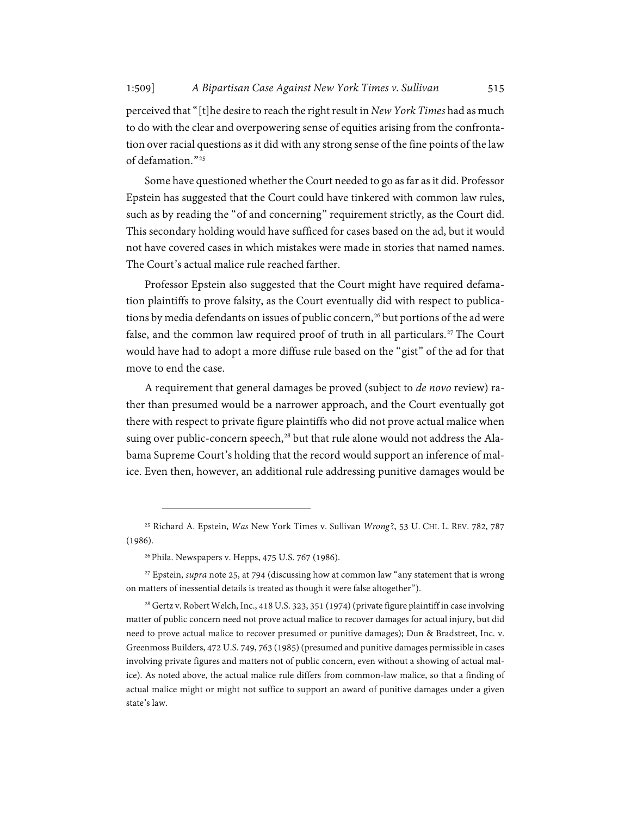perceived that "[t]he desire to reach the right result in *New York Times* had as much to do with the clear and overpowering sense of equities arising from the confrontation over racial questions as it did with any strong sense of the fine points of the law of defamation<sup>"[25](#page-6-1)</sup>

<span id="page-6-0"></span>Some have questioned whether the Court needed to go as far as it did. Professor Epstein has suggested that the Court could have tinkered with common law rules, such as by reading the "of and concerning" requirement strictly, as the Court did. This secondary holding would have sufficed for cases based on the ad, but it would not have covered cases in which mistakes were made in stories that named names. The Court's actual malice rule reached farther.

Professor Epstein also suggested that the Court might have required defamation plaintiffs to prove falsity, as the Court eventually did with respect to publications by media defendants on issues of public concern, [26](#page-6-2) but portions of the ad were false, and the common law required proof of truth in all particulars.<sup>[27](#page-6-3)</sup> The Court would have had to adopt a more diffuse rule based on the "gist" of the ad for that move to end the case.

A requirement that general damages be proved (subject to *de novo* review) rather than presumed would be a narrower approach, and the Court eventually got there with respect to private figure plaintiffs who did not prove actual malice when suing over public-concern speech, [28](#page-6-4) but that rule alone would not address the Alabama Supreme Court's holding that the record would support an inference of malice. Even then, however, an additional rule addressing punitive damages would be

<span id="page-6-1"></span><sup>25</sup> Richard A. Epstein, *Was* New York Times v. Sullivan *Wrong*?, 53 U. CHI. L. REV. 782, 787 (1986).

<sup>&</sup>lt;sup>26</sup> Phila. Newspapers v. Hepps, 475 U.S. 767 (1986).

<span id="page-6-3"></span><span id="page-6-2"></span><sup>27</sup> Epstein, *supra* not[e 25,](#page-6-0) at 794 (discussing how at common law "any statement that is wrong on matters of inessential details is treated as though it were false altogether").

<span id="page-6-4"></span><sup>&</sup>lt;sup>28</sup> Gertz v. Robert Welch, Inc., 418 U.S. 323, 351 (1974) (private figure plaintiff in case involving matter of public concern need not prove actual malice to recover damages for actual injury, but did need to prove actual malice to recover presumed or punitive damages); Dun & Bradstreet, Inc. v. Greenmoss Builders, 472 U.S. 749, 763 (1985)(presumed and punitive damages permissible in cases involving private figures and matters not of public concern, even without a showing of actual malice). As noted above, the actual malice rule differs from common-law malice, so that a finding of actual malice might or might not suffice to support an award of punitive damages under a given state's law.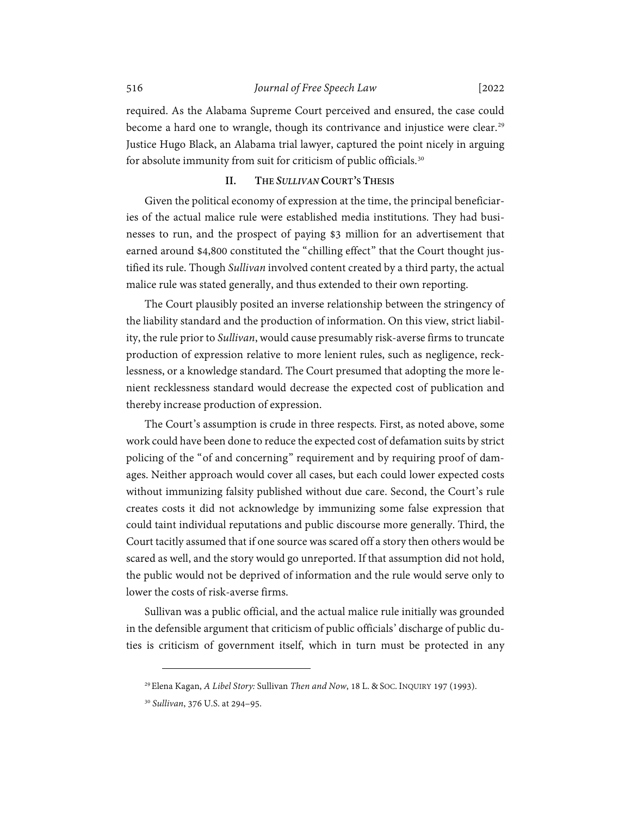required. As the Alabama Supreme Court perceived and ensured, the case could become a hard one to wrangle, though its contrivance and injustice were clear.<sup>[29](#page-7-1)</sup> Justice Hugo Black, an Alabama trial lawyer, captured the point nicely in arguing for absolute immunity from suit for criticism of public officials.<sup>[30](#page-7-2)</sup>

## <span id="page-7-3"></span>**II. THE** *SULLIVAN* **COURT'S THESIS**

<span id="page-7-0"></span>Given the political economy of expression at the time, the principal beneficiaries of the actual malice rule were established media institutions. They had businesses to run, and the prospect of paying \$3 million for an advertisement that earned around \$4,800 constituted the "chilling effect" that the Court thought justified its rule. Though *Sullivan* involved content created by a third party, the actual malice rule was stated generally, and thus extended to their own reporting.

The Court plausibly posited an inverse relationship between the stringency of the liability standard and the production of information. On this view, strict liability, the rule prior to *Sullivan*, would cause presumably risk-averse firms to truncate production of expression relative to more lenient rules, such as negligence, recklessness, or a knowledge standard. The Court presumed that adopting the more lenient recklessness standard would decrease the expected cost of publication and thereby increase production of expression.

The Court's assumption is crude in three respects. First, as noted above, some work could have been done to reduce the expected cost of defamation suits by strict policing of the "of and concerning" requirement and by requiring proof of damages. Neither approach would cover all cases, but each could lower expected costs without immunizing falsity published without due care. Second, the Court's rule creates costs it did not acknowledge by immunizing some false expression that could taint individual reputations and public discourse more generally. Third, the Court tacitly assumed that if one source was scared off a story then others would be scared as well, and the story would go unreported. If that assumption did not hold, the public would not be deprived of information and the rule would serve only to lower the costs of risk-averse firms.

Sullivan was a public official, and the actual malice rule initially was grounded in the defensible argument that criticism of public officials' discharge of public duties is criticism of government itself, which in turn must be protected in any

<span id="page-7-1"></span><sup>29</sup>Elena Kagan, *A Libel Story:* Sullivan *Then and Now*, 18 L. & SOC. INQUIRY 197 (1993).

<span id="page-7-2"></span><sup>30</sup> *Sullivan*, 376 U.S. at 294–95.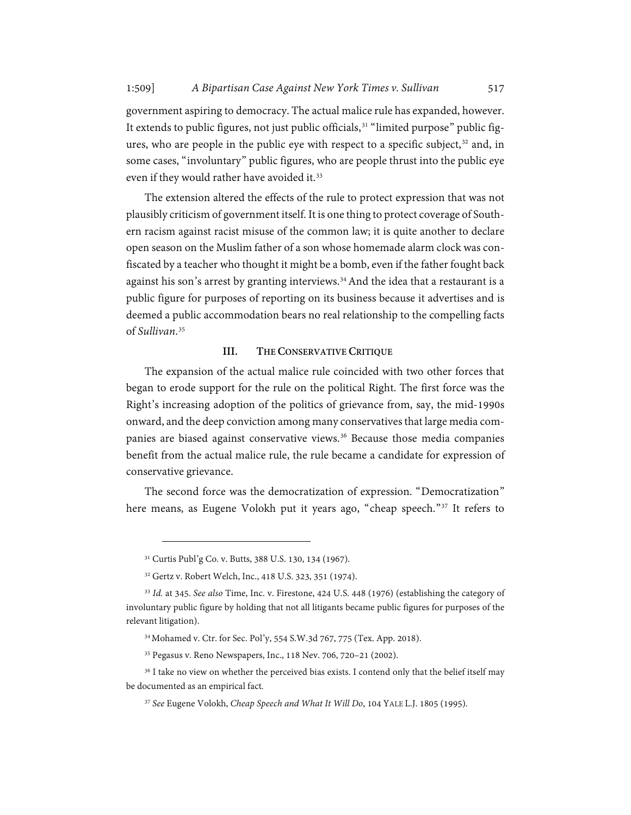government aspiring to democracy. The actual malice rule has expanded, however. It extends to public figures, not just public officials,<sup>[31](#page-8-1)</sup> "limited purpose" public fig-ures, who are people in the public eye with respect to a specific subject,<sup>[32](#page-8-2)</sup> and, in some cases, "involuntary" public figures, who are people thrust into the public eye even if they would rather have avoided it.<sup>[33](#page-8-3)</sup>

The extension altered the effects of the rule to protect expression that was not plausibly criticism of government itself. It is one thing to protect coverage of Southern racism against racist misuse of the common law; it is quite another to declare open season on the Muslim father of a son whose homemade alarm clock was confiscated by a teacher who thought it might be a bomb, even if the father fought back against his son's arrest by granting interviews. [34](#page-8-4)And the idea that a restaurant is a public figure for purposes of reporting on its business because it advertises and is deemed a public accommodation bears no real relationship to the compelling facts of *Sullivan*. [35](#page-8-5)

## **III. THE CONSERVATIVE CRITIQUE**

<span id="page-8-0"></span>The expansion of the actual malice rule coincided with two other forces that began to erode support for the rule on the political Right. The first force was the Right's increasing adoption of the politics of grievance from, say, the mid-1990s onward, and the deep conviction among many conservatives that large media com-panies are biased against conservative views.<sup>[36](#page-8-6)</sup> Because those media companies benefit from the actual malice rule, the rule became a candidate for expression of conservative grievance.

The second force was the democratization of expression. "Democratization" here means, as Eugene Volokh put it years ago, "cheap speech."<sup>[37](#page-8-7)</sup> It refers to

<sup>31</sup> Curtis Publ'g Co. v. Butts, 388 U.S. 130, 134 (1967).

<sup>32</sup> Gertz v. Robert Welch, Inc., 418 U.S. 323, 351 (1974).

<span id="page-8-3"></span><span id="page-8-2"></span><span id="page-8-1"></span><sup>33</sup> *Id.* at 345. *See also* Time, Inc. v. Firestone, 424 U.S. 448 (1976) (establishing the category of involuntary public figure by holding that not all litigants became public figures for purposes of the relevant litigation).

<sup>34</sup>Mohamed v. Ctr. for Sec. Pol'y, 554 S.W.3d 767, 775 (Tex. App. 2018).

<sup>35</sup> Pegasus v. Reno Newspapers, Inc., 118 Nev. 706, 720–21 (2002).

<span id="page-8-7"></span><span id="page-8-6"></span><span id="page-8-5"></span><span id="page-8-4"></span><sup>&</sup>lt;sup>36</sup> I take no view on whether the perceived bias exists. I contend only that the belief itself may be documented as an empirical fact.

<sup>37</sup> *See* Eugene Volokh, *Cheap Speech and What It Will Do*, 104 YALE L.J. 1805 (1995).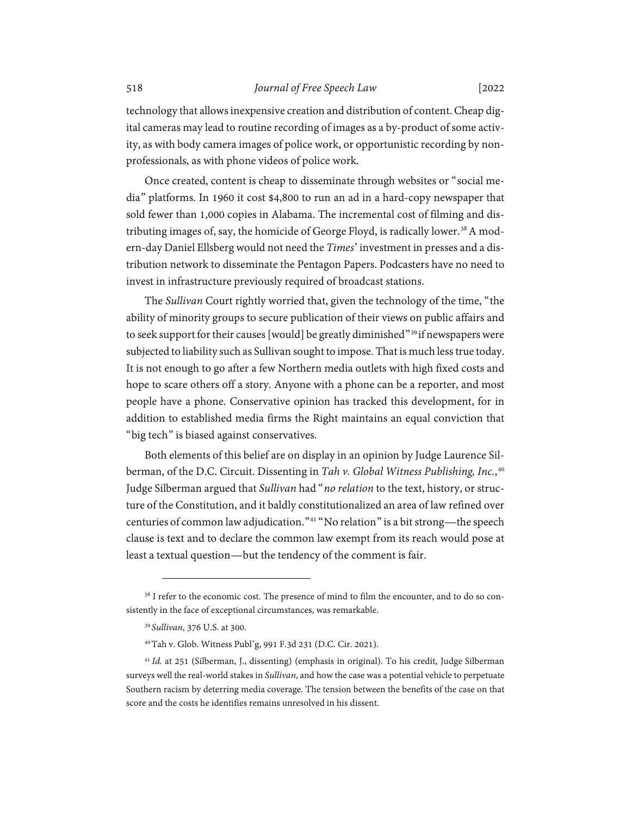technology that allows inexpensive creation and distribution of content. Cheap digital cameras may lead to routine recording of images as a by-product of some activity, as with body camera images of police work, or opportunistic recording by nonprofessionals, as with phone videos of police work.

Once created, content is cheap to disseminate through websites or "social media" platforms. In 1960 it cost \$4,800 to run an ad in a hard-copy newspaper that sold fewer than 1,000 copies in Alabama. The incremental cost of filming and dis-tributing images of, say, the homicide of George Floyd, is radically lower.<sup>[38](#page-9-0)</sup> A modern-day Daniel Ellsberg would not need the *Times*' investment in presses and a distribution network to disseminate the Pentagon Papers. Podcasters have no need to invest in infrastructure previously required of broadcast stations.

The *Sullivan* Court rightly worried that, given the technology of the time, "the ability of minority groups to secure publication of their views on public affairs and to seek support for their causes [would] be greatly diminished"<sup>[39](#page-9-1)</sup> if newspapers were subjected to liability such as Sullivan sought to impose. That is much less true today. It is not enough to go after a few Northern media outlets with high fixed costs and hope to scare others off a story. Anyone with a phone can be a reporter, and most people have a phone. Conservative opinion has tracked this development, for in addition to established media firms the Right maintains an equal conviction that "big tech" is biased against conservatives.

Both elements of this belief are on display in an opinion by Judge Laurence Silberman, of the D.C. Circuit. Dissenting in *Tah v. Global Witness Publishing, Inc.*, [40](#page-9-2) Judge Silberman argued that *Sullivan* had "*no relation* to the text, history, or structure of the Constitution, and it baldly constitutionalized an area of law refined over centuries of common law adjudication."[41](#page-9-3) "No relation" is a bit strong—the speech clause is text and to declare the common law exempt from its reach would pose at least a textual question—but the tendency of the comment is fair.

<span id="page-9-1"></span><span id="page-9-0"></span><sup>&</sup>lt;sup>38</sup> I refer to the economic cost. The presence of mind to film the encounter, and to do so consistently in the face of exceptional circumstances, was remarkable.

<sup>39</sup> *Sullivan*, 376 U.S. at 300.

<sup>40</sup>Tah v. Glob. Witness Publ'g, 991 F.3d 231 (D.C. Cir. 2021).

<span id="page-9-3"></span><span id="page-9-2"></span><sup>&</sup>lt;sup>41</sup> Id. at 251 (Silberman, J., dissenting) (emphasis in original). To his credit, Judge Silberman surveys well the real-world stakes in *Sullivan*, and how the case was a potential vehicle to perpetuate Southern racism by deterring media coverage. The tension between the benefits of the case on that score and the costs he identifies remains unresolved in his dissent.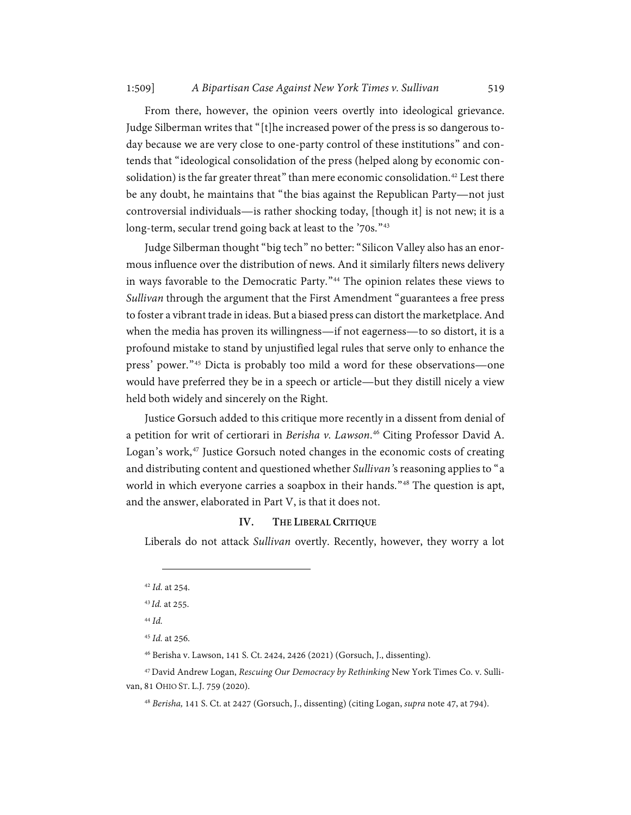From there, however, the opinion veers overtly into ideological grievance. Judge Silberman writes that "[t]he increased power of the press is so dangerous today because we are very close to one-party control of these institutions" and contends that "ideological consolidation of the press (helped along by economic con-solidation) is the far greater threat" than mere economic consolidation.<sup>[42](#page-10-2)</sup> Lest there be any doubt, he maintains that "the bias against the Republican Party—not just controversial individuals—is rather shocking today, [though it] is not new; it is a long-term, secular trend going back at least to the '70s."<sup>[43](#page-10-3)</sup>

Judge Silberman thought "big tech" no better: "Silicon Valley also has an enormous influence over the distribution of news. And it similarly filters news delivery in ways favorable to the Democratic Party."<sup>[44](#page-10-4)</sup> The opinion relates these views to *Sullivan* through the argument that the First Amendment "guarantees a free press to foster a vibrant trade in ideas. But a biased press can distort the marketplace. And when the media has proven its willingness—if not eagerness—to so distort, it is a profound mistake to stand by unjustified legal rules that serve only to enhance the press' power."[45](#page-10-5) Dicta is probably too mild a word for these observations—one would have preferred they be in a speech or article—but they distill nicely a view held both widely and sincerely on the Right.

<span id="page-10-1"></span>Justice Gorsuch added to this critique more recently in a dissent from denial of a petition for writ of certiorari in *Berisha v. Lawson*. [46](#page-10-6) Citing Professor David A. Logan's work,<sup>[47](#page-10-7)</sup> Justice Gorsuch noted changes in the economic costs of creating and distributing content and questioned whether *Sullivan'*s reasoning applies to "a world in which everyone carries a soapbox in their hands."[48](#page-10-8) The question is apt, and the answer, elaborated in Part V, is that it does not.

## **IV. THE LIBERAL CRITIQUE**

<span id="page-10-0"></span>Liberals do not attack *Sullivan* overtly. Recently, however, they worry a lot

<span id="page-10-2"></span><sup>42</sup> *Id.* at 254.

<sup>43</sup> *Id.* at 255.

<sup>44</sup> *Id.*

<sup>45</sup> *Id.* at 256.

<sup>46</sup> Berisha v. Lawson, 141 S. Ct. 2424, 2426 (2021) (Gorsuch, J., dissenting).

<span id="page-10-8"></span><span id="page-10-7"></span><span id="page-10-6"></span><span id="page-10-5"></span><span id="page-10-4"></span><span id="page-10-3"></span><sup>47</sup>David Andrew Logan, *Rescuing Our Democracy by Rethinking* New York Times Co. v. Sullivan, 81 OHIO ST. L.J. 759 (2020).

<sup>48</sup> *Berisha,* 141 S. Ct. at 2427 (Gorsuch, J., dissenting) (citing Logan, *supra* not[e 47,](#page-10-1) at 794).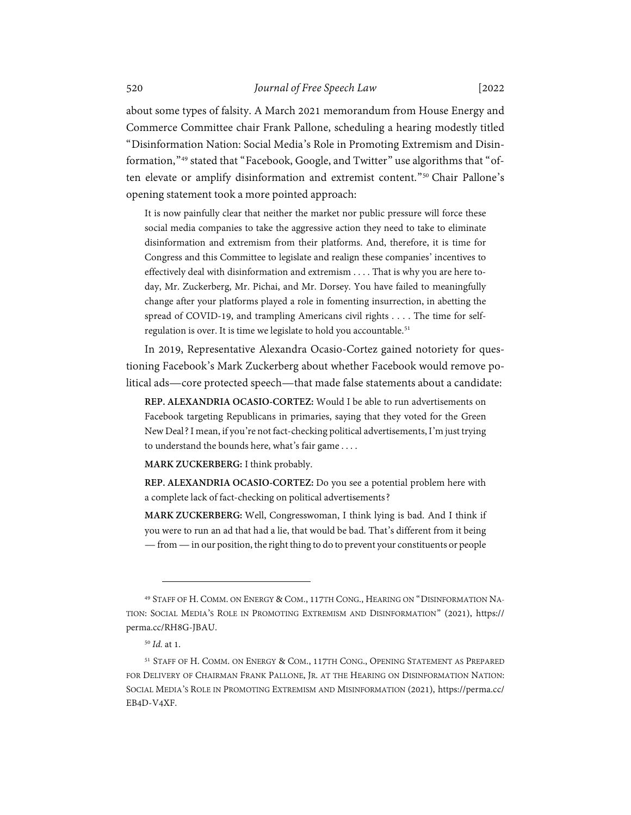about some types of falsity. A March 2021 memorandum from House Energy and Commerce Committee chair Frank Pallone, scheduling a hearing modestly titled "Disinformation Nation: Social Media's Role in Promoting Extremism and Disinformation,"[49](#page-11-0) stated that "Facebook, Google, and Twitter" use algorithms that "of-ten elevate or amplify disinformation and extremist content."<sup>[50](#page-11-1)</sup> Chair Pallone's opening statement took a more pointed approach:

It is now painfully clear that neither the market nor public pressure will force these social media companies to take the aggressive action they need to take to eliminate disinformation and extremism from their platforms. And, therefore, it is time for Congress and this Committee to legislate and realign these companies' incentives to effectively deal with disinformation and extremism . . . . That is why you are here today, Mr. Zuckerberg, Mr. Pichai, and Mr. Dorsey. You have failed to meaningfully change after your platforms played a role in fomenting insurrection, in abetting the spread of COVID-19, and trampling Americans civil rights . . . . The time for self-regulation is over. It is time we legislate to hold you accountable.<sup>[51](#page-11-2)</sup>

In 2019, Representative Alexandra Ocasio-Cortez gained notoriety for questioning Facebook's Mark Zuckerberg about whether Facebook would remove political ads—core protected speech—that made false statements about a candidate:

**REP. ALEXANDRIA OCASIO-CORTEZ:** Would I be able to run advertisements on Facebook targeting Republicans in primaries, saying that they voted for the Green New Deal? I mean, if you're not fact-checking political advertisements, I'm just trying to understand the bounds here, what's fair game. . . .

**MARK ZUCKERBERG:** I think probably.

**REP. ALEXANDRIA OCASIO-CORTEZ:** Do you see a potential problem here with a complete lack of fact-checking on political advertisements?

**MARK ZUCKERBERG:** Well, Congresswoman, I think lying is bad. And I think if you were to run an ad that had a lie, that would be bad. That's different from it being —from —in our position, the right thing to do to prevent your constituents or people

<span id="page-11-0"></span><sup>49</sup> STAFF OF H. COMM. ON ENERGY & COM., 117TH CONG., HEARING ON "DISINFORMATION NA-TION: SOCIAL MEDIA'S ROLE IN PROMOTING EXTREMISM AND DISINFORMATION" (2021), https:// perma.cc/RH8G-JBAU.

<sup>50</sup> *Id.* at 1.

<span id="page-11-2"></span><span id="page-11-1"></span><sup>51</sup> STAFF OF H. COMM. ON ENERGY & COM., 117TH CONG., OPENING STATEMENT AS PREPARED FOR DELIVERY OF CHAIRMAN FRANK PALLONE, JR. AT THE HEARING ON DISINFORMATION NATION: SOCIAL MEDIA'S ROLE IN PROMOTING EXTREMISM AND MISINFORMATION (2021), https://perma.cc/ EB4D-V4XF.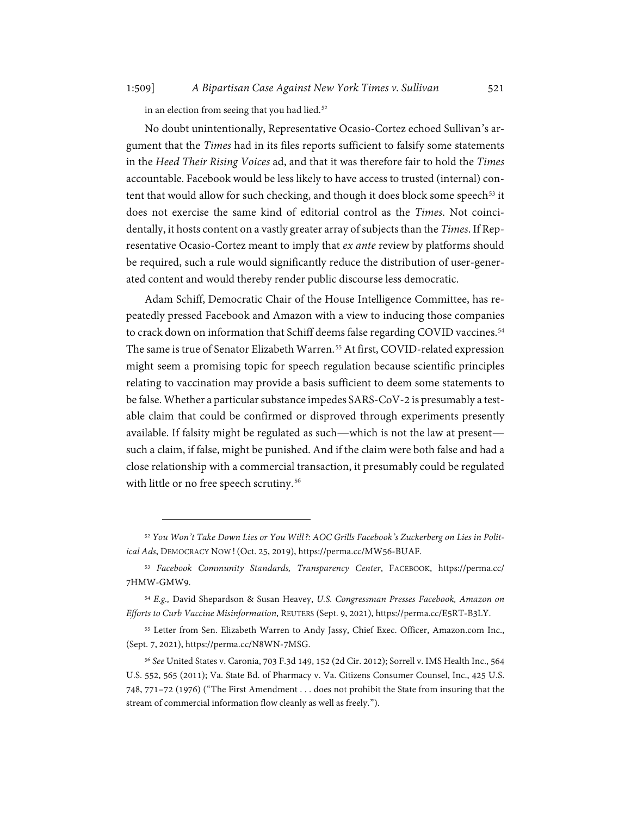in an election from seeing that you had lied.<sup>[52](#page-12-0)</sup>

No doubt unintentionally, Representative Ocasio-Cortez echoed Sullivan's argument that the *Times* had in its files reports sufficient to falsify some statements in the *Heed Their Rising Voices* ad, and that it was therefore fair to hold the *Times* accountable. Facebook would be less likely to have access to trusted (internal) con-tent that would allow for such checking, and though it does block some speech<sup>[53](#page-12-1)</sup> it does not exercise the same kind of editorial control as the *Times*. Not coincidentally, it hosts content on a vastly greater array of subjects than the *Times*. If Representative Ocasio-Cortez meant to imply that *ex ante* review by platforms should be required, such a rule would significantly reduce the distribution of user-generated content and would thereby render public discourse less democratic.

Adam Schiff, Democratic Chair of the House Intelligence Committee, has repeatedly pressed Facebook and Amazon with a view to inducing those companies to crack down on information that Schiff deems false regarding COVID vaccines.<sup>[54](#page-12-2)</sup> The same is true of Senator Elizabeth Warren.<sup>[55](#page-12-3)</sup> At first, COVID-related expression might seem a promising topic for speech regulation because scientific principles relating to vaccination may provide a basis sufficient to deem some statements to be false. Whether a particular substance impedes SARS-CoV-2 is presumably a testable claim that could be confirmed or disproved through experiments presently available. If falsity might be regulated as such—which is not the law at present such a claim, if false, might be punished. And if the claim were both false and had a close relationship with a commercial transaction, it presumably could be regulated with little or no free speech scrutiny.<sup>[56](#page-12-4)</sup>

<span id="page-12-0"></span><sup>52</sup> *You Won't Take Down Lies or You Will?: AOC Grills Facebook's Zuckerberg on Lies in Political Ads*, DEMOCRACY NOW!(Oct. 25, 2019), https://perma.cc/MW56-BUAF.

<span id="page-12-1"></span><sup>53</sup> *Facebook Community Standards, Transparency Center*, FACEBOOK, https://perma.cc/ 7HMW-GMW9.

<span id="page-12-2"></span><sup>54</sup> *E.g.,* David Shepardson & Susan Heavey, *U.S. Congressman Presses Facebook, Amazon on Efforts to Curb Vaccine Misinformation*, REUTERS (Sept. 9, 2021), https://perma.cc/E5RT-B3LY.

<span id="page-12-3"></span><sup>55</sup> Letter from Sen. Elizabeth Warren to Andy Jassy, Chief Exec. Officer, Amazon.com Inc., (Sept. 7, 2021), https://perma.cc/N8WN-7MSG.

<span id="page-12-4"></span><sup>56</sup> *See* United States v. Caronia, 703 F.3d 149, 152 (2d Cir. 2012); Sorrell v. IMS Health Inc., 564 U.S. 552, 565 (2011); Va. State Bd. of Pharmacy v. Va. Citizens Consumer Counsel, Inc., 425 U.S. 748, 771–72 (1976) ("The First Amendment . . . does not prohibit the State from insuring that the stream of commercial information flow cleanly as well as freely.").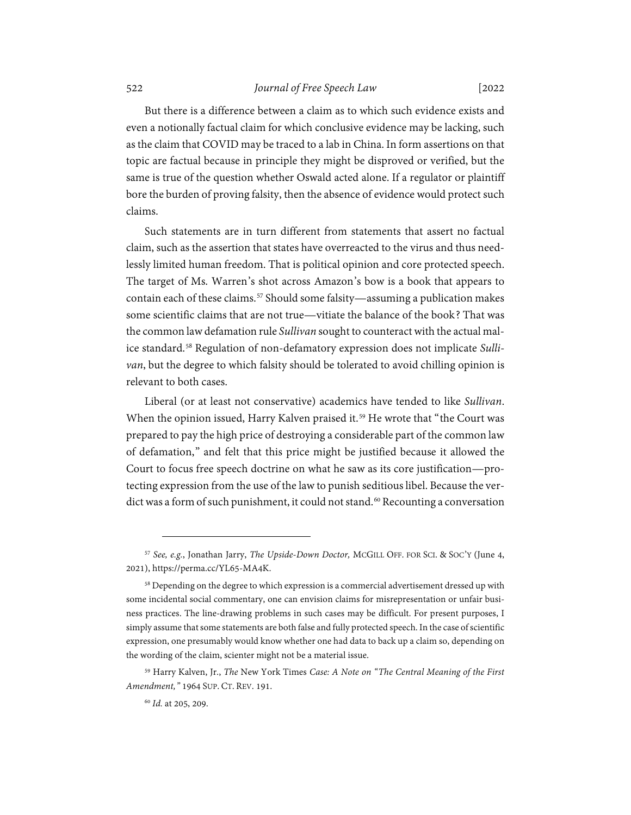But there is a difference between a claim as to which such evidence exists and even a notionally factual claim for which conclusive evidence may be lacking, such as the claim that COVID may be traced to a lab in China. In form assertions on that topic are factual because in principle they might be disproved or verified, but the same is true of the question whether Oswald acted alone. If a regulator or plaintiff bore the burden of proving falsity, then the absence of evidence would protect such claims.

Such statements are in turn different from statements that assert no factual claim, such as the assertion that states have overreacted to the virus and thus needlessly limited human freedom. That is political opinion and core protected speech. The target of Ms. Warren's shot across Amazon's bow is a book that appears to contain each of these claims.<sup>[57](#page-13-0)</sup> Should some falsity—assuming a publication makes some scientific claims that are not true—vitiate the balance of the book? That was the common law defamation rule *Sullivan* sought to counteract with the actual malice standard. [58](#page-13-1) Regulation of non-defamatory expression does not implicate *Sullivan*, but the degree to which falsity should be tolerated to avoid chilling opinion is relevant to both cases.

Liberal (or at least not conservative) academics have tended to like *Sullivan*. When the opinion issued, Harry Kalven praised it.<sup>[59](#page-13-2)</sup> He wrote that "the Court was prepared to pay the high price of destroying a considerable part of the common law of defamation," and felt that this price might be justified because it allowed the Court to focus free speech doctrine on what he saw as its core justification—protecting expression from the use of the law to punish seditious libel. Because the ver-dict was a form of such punishment, it could not stand.<sup>[60](#page-13-3)</sup> Recounting a conversation

<span id="page-13-0"></span><sup>57</sup> *See, e.g.*, Jonathan Jarry, *The Upside-Down Doctor,* MCGILL OFF. FOR SCI. & SOC'Y (June 4, 2021), https://perma.cc/YL65-MA4K.

<span id="page-13-1"></span><sup>&</sup>lt;sup>58</sup> Depending on the degree to which expression is a commercial advertisement dressed up with some incidental social commentary, one can envision claims for misrepresentation or unfair business practices. The line-drawing problems in such cases may be difficult. For present purposes, I simply assume that some statements are both false and fully protected speech. In the case of scientific expression, one presumably would know whether one had data to back up a claim so, depending on the wording of the claim, scienter might not be a material issue.

<span id="page-13-3"></span><span id="page-13-2"></span><sup>59</sup> Harry Kalven, Jr., *The* New York Times *Case: A Note on "The Central Meaning of the First Amendment,"* 1964 SUP. CT. REV. 191.

<sup>60</sup> *Id.* at 205, 209.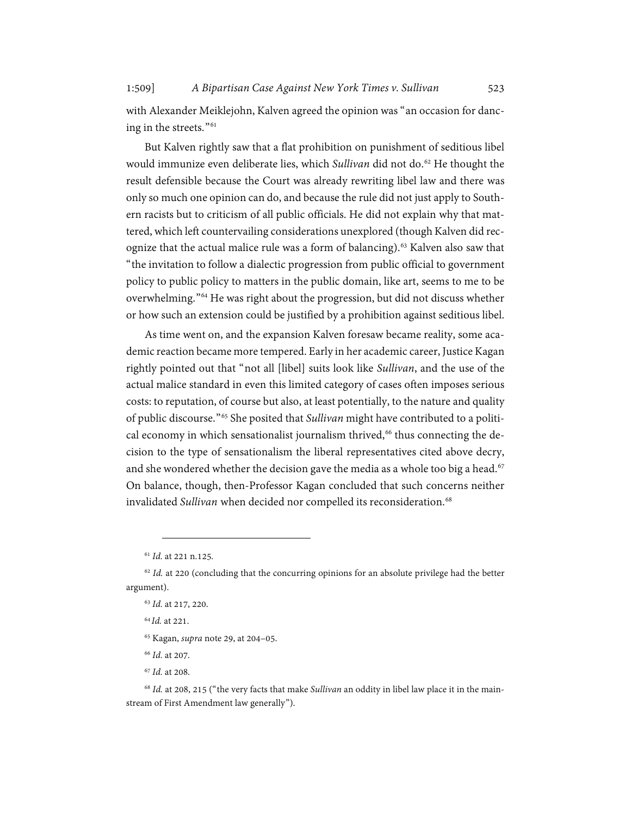with Alexander Meiklejohn, Kalven agreed the opinion was "an occasion for danc-ing in the streets."<sup>[61](#page-14-0)</sup>

But Kalven rightly saw that a flat prohibition on punishment of seditious libel would immunize even deliberate lies, which *Sullivan* did not do.<sup>[62](#page-14-1)</sup> He thought the result defensible because the Court was already rewriting libel law and there was only so much one opinion can do, and because the rule did not just apply to Southern racists but to criticism of all public officials. He did not explain why that mattered, which left countervailing considerations unexplored (though Kalven did recognize that the actual malice rule was a form of balancing). [63](#page-14-2) Kalven also saw that "the invitation to follow a dialectic progression from public official to government policy to public policy to matters in the public domain, like art, seems to me to be overwhelming."[64](#page-14-3) He was right about the progression, but did not discuss whether or how such an extension could be justified by a prohibition against seditious libel.

As time went on, and the expansion Kalven foresaw became reality, some academic reaction became more tempered. Early in her academic career, Justice Kagan rightly pointed out that "not all [libel] suits look like *Sullivan*, and the use of the actual malice standard in even this limited category of cases often imposes serious costs: to reputation, of course but also, at least potentially, to the nature and quality of public discourse."[65](#page-14-4) She posited that *Sullivan* might have contributed to a political economy in which sensationalist journalism thrived, [66](#page-14-5) thus connecting the decision to the type of sensationalism the liberal representatives cited above decry, and she wondered whether the decision gave the media as a whole too big a head.<sup>[67](#page-14-6)</sup> On balance, though, then-Professor Kagan concluded that such concerns neither invalidated *Sullivan* when decided nor compelled its reconsideration.<sup>[68](#page-14-7)</sup>

<sup>64</sup> *Id.* at 221.

<sup>65</sup> Kagan, *supra* not[e 29,](#page-7-3) at 204–05.

<sup>66</sup> *Id.* at 207.

<span id="page-14-7"></span><span id="page-14-6"></span><span id="page-14-5"></span><span id="page-14-4"></span><sup>68</sup> *Id.* at 208, 215 ("the very facts that make *Sullivan* an oddity in libel law place it in the mainstream of First Amendment law generally").

<sup>61</sup> *Id.* at 221 n.125.

<span id="page-14-3"></span><span id="page-14-2"></span><span id="page-14-1"></span><span id="page-14-0"></span><sup>&</sup>lt;sup>62</sup> *Id.* at 220 (concluding that the concurring opinions for an absolute privilege had the better argument).

<sup>63</sup> *Id.* at 217, 220.

<sup>67</sup> *Id.* at 208.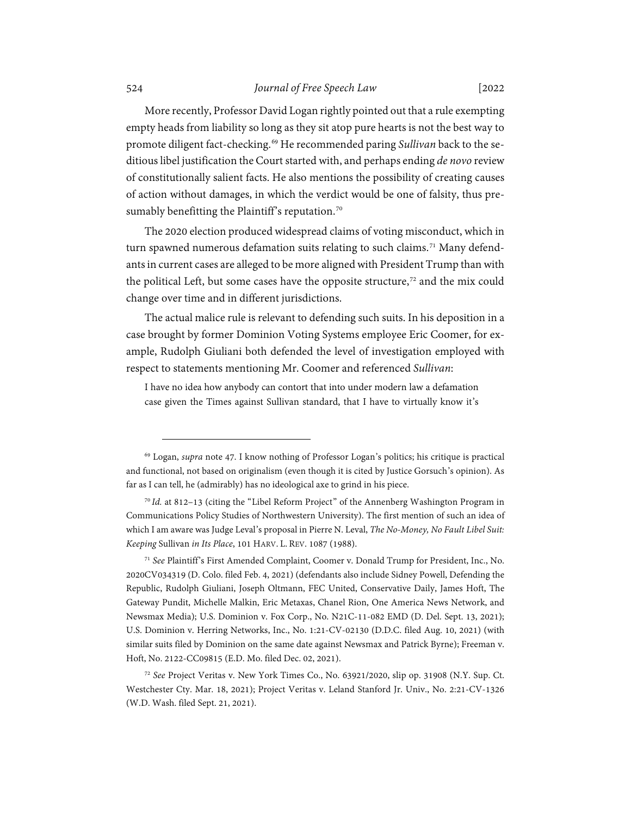More recently, Professor David Logan rightly pointed out that a rule exempting empty heads from liability so long as they sit atop pure hearts is not the best way to promote diligent fact-checking. [69](#page-15-0) He recommended paring *Sullivan* back to the seditious libel justification the Court started with, and perhaps ending *de novo* review of constitutionally salient facts. He also mentions the possibility of creating causes of action without damages, in which the verdict would be one of falsity, thus pre-sumably benefitting the Plaintiff's reputation.<sup>[70](#page-15-1)</sup>

<span id="page-15-4"></span>The 2020 election produced widespread claims of voting misconduct, which in turn spawned numerous defamation suits relating to such claims.<sup>[71](#page-15-2)</sup> Many defendants in current cases are alleged to be more aligned with President Trump than with the political Left, but some cases have the opposite structure, [72](#page-15-3) and the mix could change over time and in different jurisdictions.

The actual malice rule is relevant to defending such suits. In his deposition in a case brought by former Dominion Voting Systems employee Eric Coomer, for example, Rudolph Giuliani both defended the level of investigation employed with respect to statements mentioning Mr. Coomer and referenced *Sullivan*:

I have no idea how anybody can contort that into under modern law a defamation case given the Times against Sullivan standard, that I have to virtually know it's

<span id="page-15-0"></span><sup>69</sup> Logan, *supra* not[e 47.](#page-10-1) I know nothing of Professor Logan's politics; his critique is practical and functional, not based on originalism (even though it is cited by Justice Gorsuch's opinion). As far as I can tell, he (admirably) has no ideological axe to grind in his piece.

<span id="page-15-1"></span><sup>70</sup> *Id.* at 812–13 (citing the "Libel Reform Project" of the Annenberg Washington Program in Communications Policy Studies of Northwestern University). The first mention of such an idea of which I am aware was Judge Leval's proposal in Pierre N. Leval, *The No-Money, No Fault Libel Suit: Keeping* Sullivan *in Its Place*, 101 HARV. L. REV. 1087 (1988).

<span id="page-15-2"></span><sup>71</sup> *See* Plaintiff's First Amended Complaint, Coomer v. Donald Trump for President, Inc., No. 2020CV034319 (D. Colo. filed Feb. 4, 2021) (defendants also include Sidney Powell, Defending the Republic, Rudolph Giuliani, Joseph Oltmann, FEC United, Conservative Daily, James Hoft, The Gateway Pundit, Michelle Malkin, Eric Metaxas, Chanel Rion, One America News Network, and Newsmax Media); U.S. Dominion v. Fox Corp., No. N21C-11-082 EMD (D. Del. Sept. 13, 2021); U.S. Dominion v. Herring Networks, Inc., No. 1:21-CV-02130 (D.D.C. filed Aug. 10, 2021) (with similar suits filed by Dominion on the same date against Newsmax and Patrick Byrne); Freeman v. Hoft, No. 2122-CC09815 (E.D. Mo. filed Dec. 02, 2021).

<span id="page-15-3"></span><sup>72</sup> *See* Project Veritas v. New York Times Co., No. 63921/2020, slip op. 31908 (N.Y. Sup. Ct. Westchester Cty. Mar. 18, 2021); Project Veritas v. Leland Stanford Jr. Univ., No. 2:21-CV-1326 (W.D. Wash. filed Sept. 21, 2021).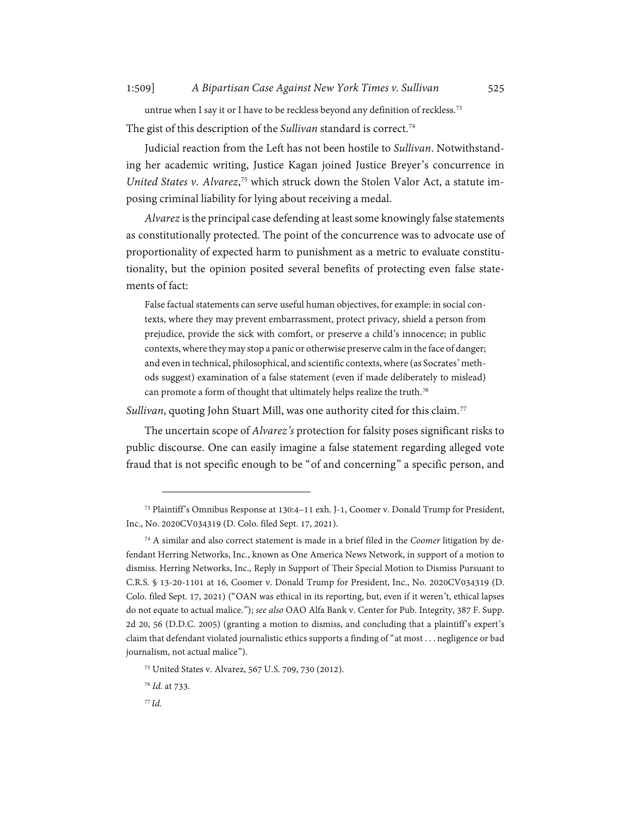untrue when I say it or I have to be reckless beyond any definition of reckless.<sup>[73](#page-16-0)</sup> The gist of this description of the *Sullivan* standard is correct. [74](#page-16-1)

Judicial reaction from the Left has not been hostile to *Sullivan*. Notwithstanding her academic writing, Justice Kagan joined Justice Breyer's concurrence in *United States v*. *Alvarez*, [75](#page-16-2) which struck down the Stolen Valor Act, a statute imposing criminal liability for lying about receiving a medal.

*Alvarez*is the principal case defending at least some knowingly false statements as constitutionally protected. The point of the concurrence was to advocate use of proportionality of expected harm to punishment as a metric to evaluate constitutionality, but the opinion posited several benefits of protecting even false statements of fact:

False factual statements can serve useful human objectives, for example: in social contexts, where they may prevent embarrassment, protect privacy, shield a person from prejudice, provide the sick with comfort, or preserve a child's innocence; in public contexts, where they may stop a panic or otherwise preserve calm in the face of danger; and even in technical, philosophical, and scientific contexts,where (as Socrates' methods suggest) examination of a false statement (even if made deliberately to mislead) can promote a form of thought that ultimately helps realize the truth.<sup>[76](#page-16-3)</sup>

Sullivan, quoting John Stuart Mill, was one authority cited for this claim.<sup>[77](#page-16-4)</sup>

The uncertain scope of *Alvarez's* protection for falsity poses significant risks to public discourse. One can easily imagine a false statement regarding alleged vote fraud that is not specific enough to be "of and concerning" a specific person, and

<span id="page-16-0"></span><sup>73</sup> Plaintiff's Omnibus Response at 130:4–11 exh. J-1, Coomer v. Donald Trump for President, Inc., No. 2020CV034319 (D. Colo. filed Sept. 17, 2021).

<span id="page-16-1"></span><sup>74</sup> A similar and also correct statement is made in a brief filed in the *Coomer* litigation by defendant Herring Networks, Inc., known as One America News Network, in support of a motion to dismiss. Herring Networks, Inc., Reply in Support of Their Special Motion to Dismiss Pursuant to C.R.S. § 13-20-1101 at 16, Coomer v. Donald Trump for President, Inc., No. 2020CV034319 (D. Colo. filed Sept. 17, 2021) ("OAN was ethical in its reporting, but, even if it weren't, ethical lapses do not equate to actual malice."); *see also* OAO Alfa Bank v. Center for Pub. Integrity, 387 F. Supp. 2d 20, 56 (D.D.C. 2005) (granting a motion to dismiss, and concluding that a plaintiff's expert's claim that defendant violated journalistic ethics supports a finding of "at most . . . negligence or bad journalism, not actual malice").

<span id="page-16-2"></span><sup>75</sup> United States v. Alvarez, 567 U.S. 709, 730 (2012).

<span id="page-16-4"></span><span id="page-16-3"></span><sup>76</sup> *Id.* at 733.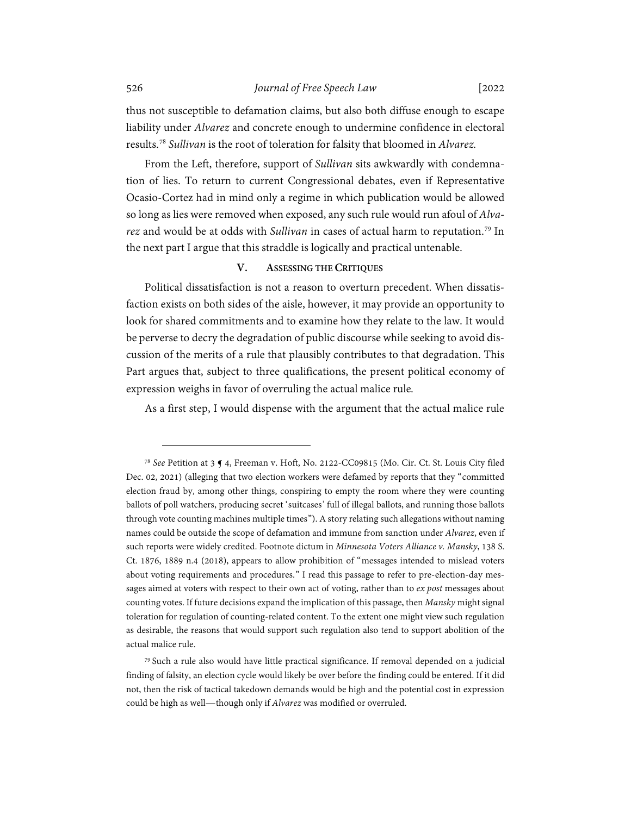thus not susceptible to defamation claims, but also both diffuse enough to escape liability under *Alvarez* and concrete enough to undermine confidence in electoral results.[78](#page-17-1) *Sullivan* is the root of toleration for falsity that bloomed in *Alvarez.*

From the Left, therefore, support of *Sullivan* sits awkwardly with condemnation of lies. To return to current Congressional debates, even if Representative Ocasio-Cortez had in mind only a regime in which publication would be allowed so long as lies were removed when exposed, any such rule would run afoul of *Alvarez* and would be at odds with *Sullivan* in cases of actual harm to reputation. [79](#page-17-2) In the next part I argue that this straddle is logically and practical untenable.

#### **V. ASSESSING THE CRITIQUES**

<span id="page-17-0"></span>Political dissatisfaction is not a reason to overturn precedent. When dissatisfaction exists on both sides of the aisle, however, it may provide an opportunity to look for shared commitments and to examine how they relate to the law. It would be perverse to decry the degradation of public discourse while seeking to avoid discussion of the merits of a rule that plausibly contributes to that degradation. This Part argues that, subject to three qualifications, the present political economy of expression weighs in favor of overruling the actual malice rule*.*

As a first step, I would dispense with the argument that the actual malice rule

<span id="page-17-1"></span><sup>78</sup> *See* Petition at 3 ¶ 4, Freeman v. Hoft, No. 2122-CC09815 (Mo. Cir. Ct. St. Louis City filed Dec. 02, 2021) (alleging that two election workers were defamed by reports that they "committed election fraud by, among other things, conspiring to empty the room where they were counting ballots of poll watchers, producing secret 'suitcases' full of illegal ballots, and running those ballots through vote counting machines multiple times"). A story relating such allegations without naming names could be outside the scope of defamation and immune from sanction under *Alvarez*, even if such reports were widely credited. Footnote dictum in *Minnesota Voters Alliance v. Mansky*, 138 S. Ct. 1876, 1889 n.4 (2018), appears to allow prohibition of "messages intended to mislead voters about voting requirements and procedures." I read this passage to refer to pre-election-day messages aimed at voters with respect to their own act of voting, rather than to *ex post* messages about counting votes. If future decisions expand the implication of this passage, then *Mansky* might signal toleration for regulation of counting-related content. To the extent one might view such regulation as desirable, the reasons that would support such regulation also tend to support abolition of the actual malice rule.

<span id="page-17-2"></span><sup>79</sup> Such a rule also would have little practical significance. If removal depended on a judicial finding of falsity, an election cycle would likely be over before the finding could be entered. If it did not, then the risk of tactical takedown demands would be high and the potential cost in expression could be high as well—though only if *Alvarez* was modified or overruled.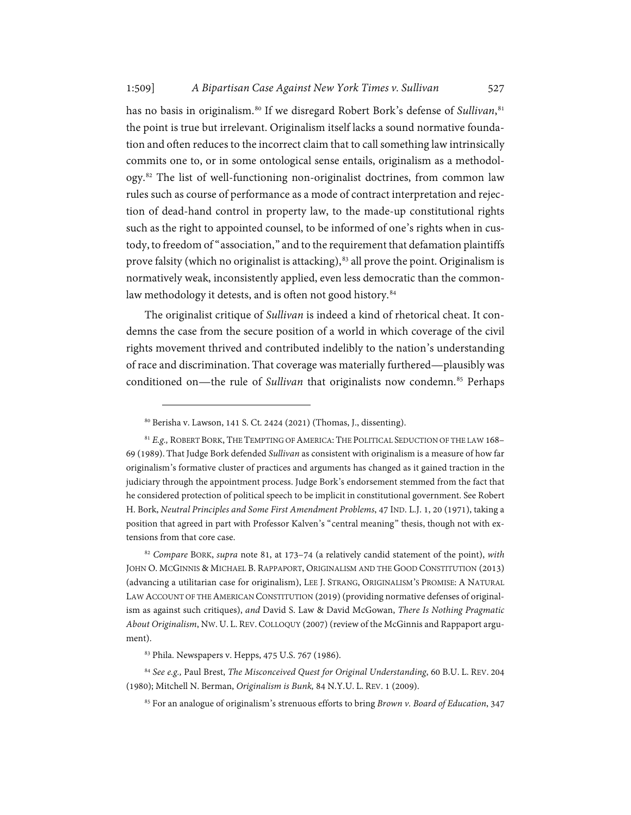<span id="page-18-0"></span>has no basis in originalism.<sup>[80](#page-18-1)</sup> If we disregard Robert Bork's defense of *Sullivan*,<sup>[81](#page-18-2)</sup> the point is true but irrelevant. Originalism itself lacks a sound normative foundation and often reduces to the incorrect claim that to call something law intrinsically commits one to, or in some ontological sense entails, originalism as a methodology.[82](#page-18-3) The list of well-functioning non-originalist doctrines, from common law rules such as course of performance as a mode of contract interpretation and rejection of dead-hand control in property law, to the made-up constitutional rights such as the right to appointed counsel, to be informed of one's rights when in custody, to freedom of "association," and to the requirement that defamation plaintiffs prove falsity (which no originalist is attacking), $83$  all prove the point. Originalism is normatively weak, inconsistently applied, even less democratic than the common-law methodology it detests, and is often not good history.<sup>[84](#page-18-5)</sup>

The originalist critique of *Sullivan* is indeed a kind of rhetorical cheat. It condemns the case from the secure position of a world in which coverage of the civil rights movement thrived and contributed indelibly to the nation's understanding of race and discrimination. That coverage was materially furthered—plausibly was conditioned on—the rule of *Sullivan* that originalists now condemn.<sup>[85](#page-18-6)</sup> Perhaps

<span id="page-18-3"></span><sup>82</sup> *Compare* BORK, *supra* not[e 81,](#page-18-0) at 173–74 (a relatively candid statement of the point), *with* JOHN O. MCGINNIS & MICHAEL B. RAPPAPORT, ORIGINALISM AND THE GOOD CONSTITUTION (2013) (advancing a utilitarian case for originalism), LEE J. STRANG, ORIGINALISM'S PROMISE: A NATURAL LAW ACCOUNT OF THE AMERICAN CONSTITUTION (2019) (providing normative defenses of originalism as against such critiques), *and* David S. Law & David McGowan, *There Is Nothing Pragmatic About Originalism*, NW.U. L. REV. COLLOQUY (2007) (review of the McGinnis and Rappaport argument).

<sup>80</sup> Berisha v. Lawson, 141 S. Ct. 2424 (2021) (Thomas, J., dissenting).

<span id="page-18-2"></span><span id="page-18-1"></span><sup>81</sup> *E.g.,* ROBERT BORK, THE TEMPTING OF AMERICA: THE POLITICAL SEDUCTION OF THE LAW 168– 69 (1989). That Judge Bork defended *Sullivan* as consistent with originalism is a measure of how far originalism's formative cluster of practices and arguments has changed as it gained traction in the judiciary through the appointment process. Judge Bork's endorsement stemmed from the fact that he considered protection of political speech to be implicit in constitutional government. See Robert H. Bork, *Neutral Principles and Some First Amendment Problems*, 47 IND. L.J. 1, 20 (1971), taking a position that agreed in part with Professor Kalven's "central meaning" thesis, though not with extensions from that core case.

<sup>83</sup> Phila. Newspapers v. Hepps, 475 U.S. 767 (1986).

<span id="page-18-6"></span><span id="page-18-5"></span><span id="page-18-4"></span><sup>84</sup> *See e.g.,* Paul Brest, *The Misconceived Quest for Original Understanding*, 60 B.U. L. REV. 204 (1980); Mitchell N. Berman, *Originalism is Bunk,* 84 N.Y.U. L. REV. 1 (2009).

<sup>85</sup> For an analogue of originalism's strenuous efforts to bring *Brown v. Board of Education*, 347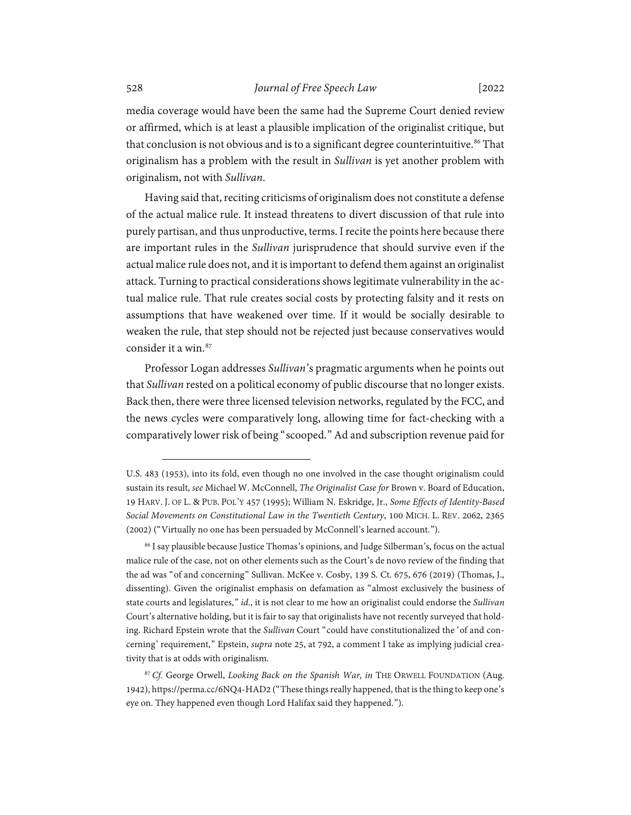media coverage would have been the same had the Supreme Court denied review or affirmed, which is at least a plausible implication of the originalist critique, but that conclusion is not obvious and is to a significant degree counterintuitive. [86](#page-19-0) That originalism has a problem with the result in *Sullivan* is yet another problem with originalism, not with *Sullivan*.

Having said that, reciting criticisms of originalism does not constitute a defense of the actual malice rule. It instead threatens to divert discussion of that rule into purely partisan, and thus unproductive, terms. I recite the points here because there are important rules in the *Sullivan* jurisprudence that should survive even if the actual malice rule does not, and it is important to defend them against an originalist attack. Turning to practical considerations shows legitimate vulnerability in the actual malice rule. That rule creates social costs by protecting falsity and it rests on assumptions that have weakened over time. If it would be socially desirable to weaken the rule, that step should not be rejected just because conservatives would consider it a win.[87](#page-19-1)

Professor Logan addresses *Sullivan*'s pragmatic arguments when he points out that *Sullivan* rested on a political economy of public discourse that no longer exists. Back then, there were three licensed television networks, regulated by the FCC, and the news cycles were comparatively long, allowing time for fact-checking with a comparatively lower risk of being "scooped." Ad and subscription revenue paid for

U.S. 483 (1953), into its fold, even though no one involved in the case thought originalism could sustain its result, *see* Michael W. McConnell, *The Originalist Case for* Brown v. Board of Education, 19 HARV. J. OF L. & PUB. POL'Y 457 (1995); William N. Eskridge, Jr., *Some Effects of Identity-Based Social Movements on Constitutional Law in the Twentieth Century*, 100 MICH. L. REV. 2062, 2365 (2002) ("Virtually no one has been persuaded by McConnell's learned account.").

<span id="page-19-0"></span><sup>86</sup> I say plausible because Justice Thomas's opinions, and Judge Silberman's, focus on the actual malice rule of the case, not on other elements such as the Court's de novo review of the finding that the ad was "of and concerning" Sullivan. McKee v. Cosby, 139 S. Ct. 675, 676 (2019) (Thomas, J., dissenting). Given the originalist emphasis on defamation as "almost exclusively the business of state courts and legislatures," *id*., it is not clear to me how an originalist could endorse the *Sullivan* Court's alternative holding, but it is fair to say that originalists have not recently surveyed that holding. Richard Epstein wrote that the *Sullivan* Court "could have constitutionalized the 'of and concerning' requirement," Epstein, *supra* note [25,](#page-6-0) at 792, a comment I take as implying judicial creativity that is at odds with originalism.

<span id="page-19-1"></span><sup>87</sup> *Cf.* George Orwell, *Looking Back on the Spanish War, in* THE ORWELL FOUNDATION (Aug. 1942), https://perma.cc/6NQ4-HAD2 ("These things really happened, that is the thing to keep one's eye on. They happened even though Lord Halifax said they happened.").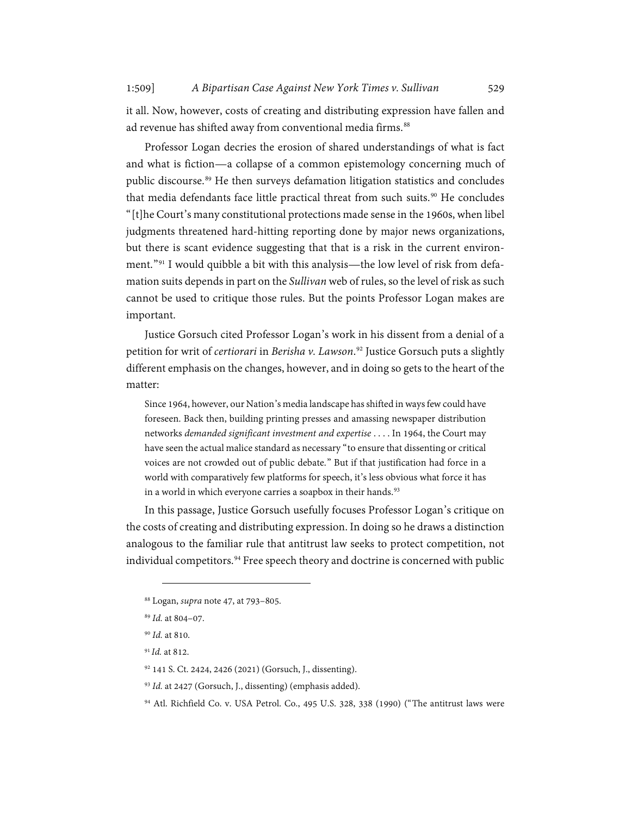it all. Now, however, costs of creating and distributing expression have fallen and ad revenue has shifted away from conventional media firms.<sup>[88](#page-20-0)</sup>

Professor Logan decries the erosion of shared understandings of what is fact and what is fiction—a collapse of a common epistemology concerning much of public discourse.<sup>[89](#page-20-1)</sup> He then surveys defamation litigation statistics and concludes that media defendants face little practical threat from such suits.<sup>[90](#page-20-2)</sup> He concludes "[t]he Court's many constitutional protections made sense in the 1960s, when libel judgments threatened hard-hitting reporting done by major news organizations, but there is scant evidence suggesting that that is a risk in the current environment."[91](#page-20-3) I would quibble a bit with this analysis—the low level of risk from defamation suits depends in part on the *Sullivan* web of rules, so the level of risk as such cannot be used to critique those rules. But the points Professor Logan makes are important.

Justice Gorsuch cited Professor Logan's work in his dissent from a denial of a petition for writ of *certiorari* in *Berisha v. Lawson*. [92](#page-20-4) Justice Gorsuch puts a slightly different emphasis on the changes, however, and in doing so gets to the heart of the matter:

Since 1964, however, our Nation's media landscape has shifted in ways few could have foreseen. Back then, building printing presses and amassing newspaper distribution networks *demanded significant investment and expertise* . . . . In 1964, the Court may have seen the actual malice standard as necessary "to ensure that dissenting or critical voices are not crowded out of public debate." But if that justification had force in a world with comparatively few platforms for speech, it's less obvious what force it has in a world in which everyone carries a soapbox in their hands.<sup>[93](#page-20-5)</sup>

In this passage, Justice Gorsuch usefully focuses Professor Logan's critique on the costs of creating and distributing expression. In doing so he draws a distinction analogous to the familiar rule that antitrust law seeks to protect competition, not individual competitors.<sup>[94](#page-20-6)</sup> Free speech theory and doctrine is concerned with public

<span id="page-20-1"></span><span id="page-20-0"></span><sup>88</sup> Logan, *supra* not[e 47,](#page-10-1) at 793–805.

<sup>89</sup> *Id.* at 804–07.

<span id="page-20-2"></span><sup>90</sup> *Id.* at 810.

<span id="page-20-3"></span><sup>91</sup> *Id.* at 812.

<span id="page-20-4"></span><sup>92</sup> 141 S. Ct. 2424, 2426 (2021) (Gorsuch, J., dissenting).

<span id="page-20-5"></span><sup>93</sup> *Id.* at 2427 (Gorsuch, J., dissenting) (emphasis added).

<span id="page-20-6"></span><sup>94</sup> Atl. Richfield Co. v. USA Petrol. Co., 495 U.S. 328, 338 (1990) ("The antitrust laws were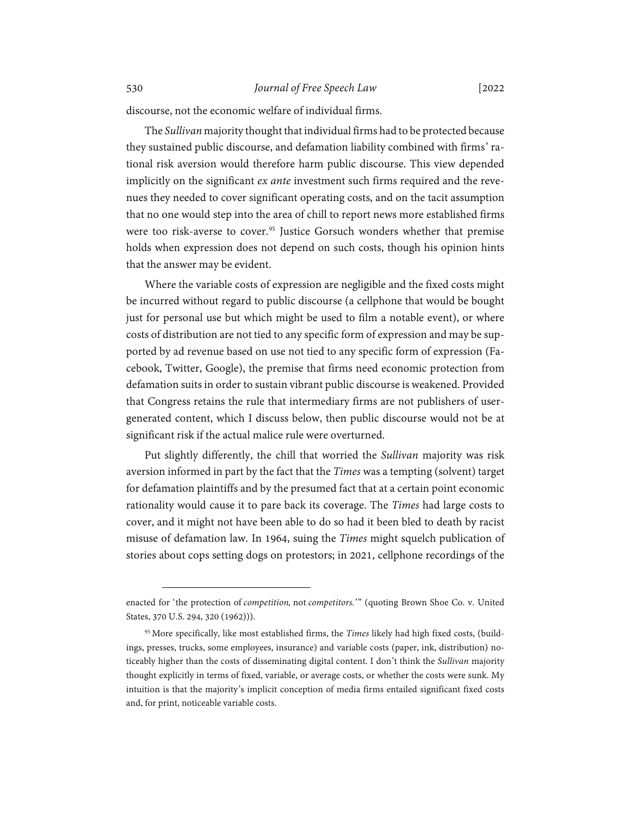discourse, not the economic welfare of individual firms.

The *Sullivan*majority thought that individual firms had to be protected because they sustained public discourse, and defamation liability combined with firms' rational risk aversion would therefore harm public discourse. This view depended implicitly on the significant *ex ante* investment such firms required and the revenues they needed to cover significant operating costs, and on the tacit assumption that no one would step into the area of chill to report news more established firms were too risk-averse to cover. [95](#page-21-0) Justice Gorsuch wonders whether that premise holds when expression does not depend on such costs, though his opinion hints that the answer may be evident.

Where the variable costs of expression are negligible and the fixed costs might be incurred without regard to public discourse (a cellphone that would be bought just for personal use but which might be used to film a notable event), or where costs of distribution are not tied to any specific form of expression and may be supported by ad revenue based on use not tied to any specific form of expression (Facebook, Twitter, Google), the premise that firms need economic protection from defamation suits in order to sustain vibrant public discourse is weakened. Provided that Congress retains the rule that intermediary firms are not publishers of usergenerated content, which I discuss below, then public discourse would not be at significant risk if the actual malice rule were overturned.

Put slightly differently, the chill that worried the *Sullivan* majority was risk aversion informed in part by the fact that the *Times* was a tempting (solvent) target for defamation plaintiffs and by the presumed fact that at a certain point economic rationality would cause it to pare back its coverage. The *Times* had large costs to cover, and it might not have been able to do so had it been bled to death by racist misuse of defamation law. In 1964, suing the *Times* might squelch publication of stories about cops setting dogs on protestors; in 2021, cellphone recordings of the

enacted for 'the protection of *competition,* not *competitors.*'" (quoting Brown Shoe Co. v. United States, 370 U.S. 294, 320 (1962))).

<span id="page-21-0"></span><sup>95</sup> More specifically, like most established firms, the *Times* likely had high fixed costs, (buildings, presses, trucks, some employees, insurance) and variable costs (paper, ink, distribution) noticeably higher than the costs of disseminating digital content. I don't think the *Sullivan* majority thought explicitly in terms of fixed, variable, or average costs, or whether the costs were sunk. My intuition is that the majority's implicit conception of media firms entailed significant fixed costs and, for print, noticeable variable costs.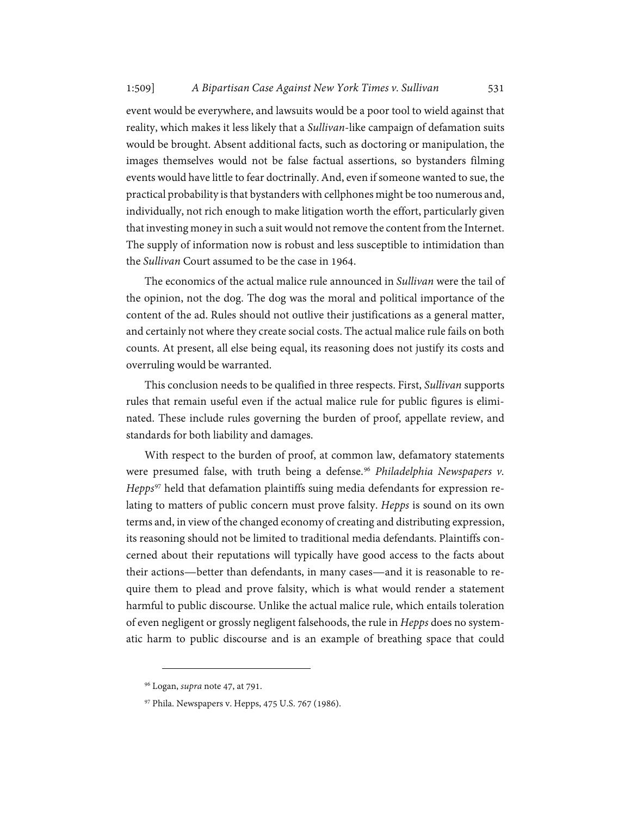event would be everywhere, and lawsuits would be a poor tool to wield against that reality, which makes it less likely that a *Sullivan*-like campaign of defamation suits would be brought. Absent additional facts, such as doctoring or manipulation, the images themselves would not be false factual assertions, so bystanders filming events would have little to fear doctrinally. And, even if someone wanted to sue, the practical probability is that bystanders with cellphones might be too numerous and, individually, not rich enough to make litigation worth the effort, particularly given that investing money in such a suit would not remove the content from the Internet. The supply of information now is robust and less susceptible to intimidation than the *Sullivan* Court assumed to be the case in 1964.

The economics of the actual malice rule announced in *Sullivan* were the tail of the opinion, not the dog. The dog was the moral and political importance of the content of the ad. Rules should not outlive their justifications as a general matter, and certainly not where they create social costs. The actual malice rule fails on both counts. At present, all else being equal, its reasoning does not justify its costs and overruling would be warranted.

This conclusion needs to be qualified in three respects. First, *Sullivan* supports rules that remain useful even if the actual malice rule for public figures is eliminated. These include rules governing the burden of proof, appellate review, and standards for both liability and damages.

With respect to the burden of proof, at common law, defamatory statements were presumed false, with truth being a defense.<sup>[96](#page-22-0)</sup> Philadelphia Newspapers v. *Hepps*[97](#page-22-1) held that defamation plaintiffs suing media defendants for expression relating to matters of public concern must prove falsity. *Hepps* is sound on its own terms and, in view of the changed economy of creating and distributing expression, its reasoning should not be limited to traditional media defendants. Plaintiffs concerned about their reputations will typically have good access to the facts about their actions—better than defendants, in many cases—and it is reasonable to require them to plead and prove falsity, which is what would render a statement harmful to public discourse. Unlike the actual malice rule, which entails toleration of even negligent or grossly negligent falsehoods, the rule in *Hepps* does no systematic harm to public discourse and is an example of breathing space that could

<span id="page-22-0"></span><sup>96</sup> Logan, *supra* not[e 47,](#page-10-1) at 791.

<span id="page-22-1"></span><sup>97</sup> Phila. Newspapers v. Hepps, 475 U.S. 767 (1986).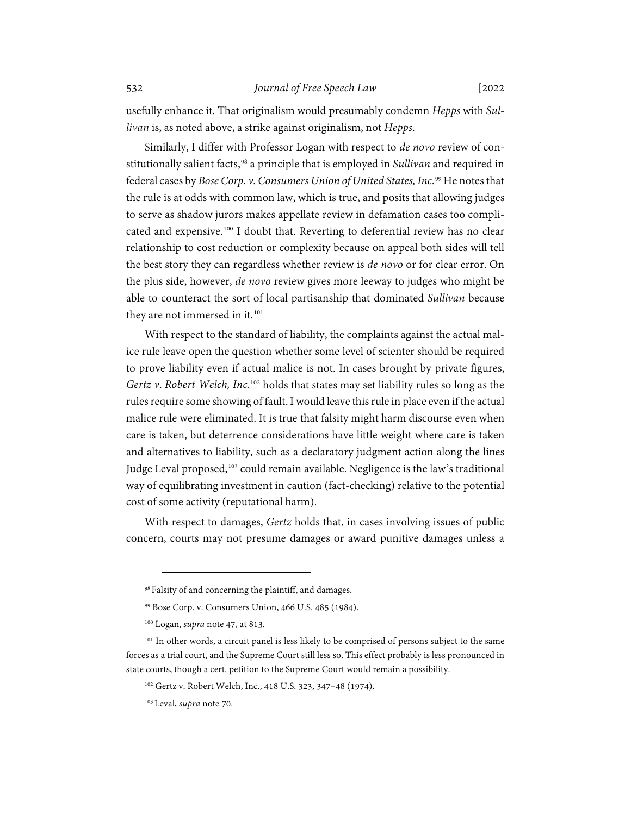usefully enhance it. That originalism would presumably condemn *Hepps* with *Sullivan* is, as noted above, a strike against originalism, not *Hepps*.

Similarly, I differ with Professor Logan with respect to *de novo* review of constitutionally salient facts,[98](#page-23-0) a principle that is employed in *Sullivan* and required in federal cases by *Bose Corp. v. Consumers Union of United States, Inc*. [99](#page-23-1) He notes that the rule is at odds with common law, which is true, and posits that allowing judges to serve as shadow jurors makes appellate review in defamation cases too compli-cated and expensive.<sup>[100](#page-23-2)</sup> I doubt that. Reverting to deferential review has no clear relationship to cost reduction or complexity because on appeal both sides will tell the best story they can regardless whether review is *de novo* or for clear error. On the plus side, however, *de novo* review gives more leeway to judges who might be able to counteract the sort of local partisanship that dominated *Sullivan* because they are not immersed in it.<sup>[101](#page-23-3)</sup>

With respect to the standard of liability, the complaints against the actual malice rule leave open the question whether some level of scienter should be required to prove liability even if actual malice is not. In cases brought by private figures, *Gertz v*. *Robert Welch, Inc*. [102](#page-23-4) holds that states may set liability rules so long as the rules require some showing of fault. I would leave this rule in place even if the actual malice rule were eliminated. It is true that falsity might harm discourse even when care is taken, but deterrence considerations have little weight where care is taken and alternatives to liability, such as a declaratory judgment action along the lines Judge Leval proposed,<sup>[103](#page-23-5)</sup> could remain available. Negligence is the law's traditional way of equilibrating investment in caution (fact-checking) relative to the potential cost of some activity (reputational harm).

With respect to damages, *Gertz* holds that, in cases involving issues of public concern, courts may not presume damages or award punitive damages unless a

<sup>98</sup> Falsity of and concerning the plaintiff, and damages.

<sup>99</sup> Bose Corp. v. Consumers Union, 466 U.S. 485 (1984).

<sup>100</sup> Logan, *supra* not[e 47,](#page-10-1) at 813.

<span id="page-23-5"></span><span id="page-23-4"></span><span id="page-23-3"></span><span id="page-23-2"></span><span id="page-23-1"></span><span id="page-23-0"></span><sup>&</sup>lt;sup>101</sup> In other words, a circuit panel is less likely to be comprised of persons subject to the same forces as a trial court, and the Supreme Court still less so. This effect probably is less pronounced in state courts, though a cert. petition to the Supreme Court would remain a possibility.

<sup>102</sup> Gertz v. Robert Welch, Inc., 418 U.S. 323, 347–48 (1974).

<sup>103</sup> Leval, *supra* not[e 70.](#page-15-4)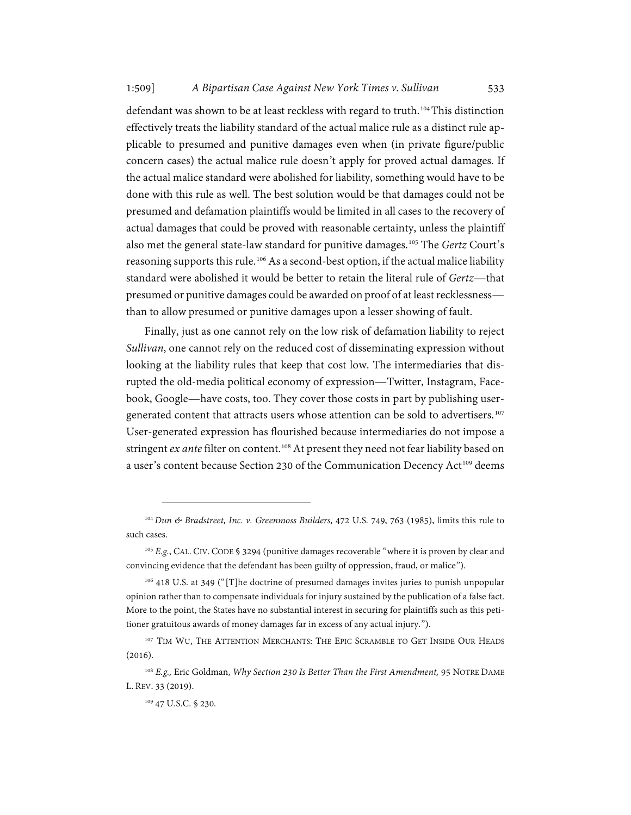defendant was shown to be at least reckless with regard to truth. [104](#page-24-0)This distinction effectively treats the liability standard of the actual malice rule as a distinct rule applicable to presumed and punitive damages even when (in private figure/public concern cases) the actual malice rule doesn't apply for proved actual damages. If the actual malice standard were abolished for liability, something would have to be done with this rule as well. The best solution would be that damages could not be presumed and defamation plaintiffs would be limited in all cases to the recovery of actual damages that could be proved with reasonable certainty, unless the plaintiff also met the general state-law standard for punitive damages.[105](#page-24-1) The *Gertz* Court's reasoning supports this rule. [106](#page-24-2) As a second-best option, if the actual malice liability standard were abolished it would be better to retain the literal rule of *Gertz*—that presumed or punitive damages could be awarded on proof of at least recklessness than to allow presumed or punitive damages upon a lesser showing of fault.

Finally, just as one cannot rely on the low risk of defamation liability to reject *Sullivan*, one cannot rely on the reduced cost of disseminating expression without looking at the liability rules that keep that cost low. The intermediaries that disrupted the old-media political economy of expression—Twitter, Instagram, Facebook, Google—have costs, too. They cover those costs in part by publishing user-generated content that attracts users whose attention can be sold to advertisers.<sup>[107](#page-24-3)</sup> User-generated expression has flourished because intermediaries do not impose a stringent *ex ante* filter on content.<sup>[108](#page-24-4)</sup> At present they need not fear liability based on a user's content because Section 230 of the Communication Decency Act<sup>[109](#page-24-5)</sup> deems

<span id="page-24-0"></span><sup>104</sup>*Dun & Bradstreet, Inc. v. Greenmoss Builders*, 472 U.S. 749, 763 (1985), limits this rule to such cases.

<span id="page-24-1"></span><sup>105</sup> *E.g.*, CAL. CIV. CODE § 3294 (punitive damages recoverable "where it is proven by clear and convincing evidence that the defendant has been guilty of oppression, fraud, or malice").

<span id="page-24-2"></span><sup>106</sup> 418 U.S. at 349 ("[T]he doctrine of presumed damages invites juries to punish unpopular opinion rather than to compensate individuals for injury sustained by the publication of a false fact. More to the point, the States have no substantial interest in securing for plaintiffs such as this petitioner gratuitous awards of money damages far in excess of any actual injury.").

<span id="page-24-3"></span><sup>107</sup> TIM WU, THE ATTENTION MERCHANTS: THE EPIC SCRAMBLE TO GET INSIDE OUR HEADS (2016).

<span id="page-24-5"></span><span id="page-24-4"></span><sup>108</sup> *E.g.,* Eric Goldman, *Why Section 230 Is Better Than the First Amendment,* 95 NOTRE DAME L. REV. 33 (2019).

<sup>109</sup> 47 U.S.C. § 230.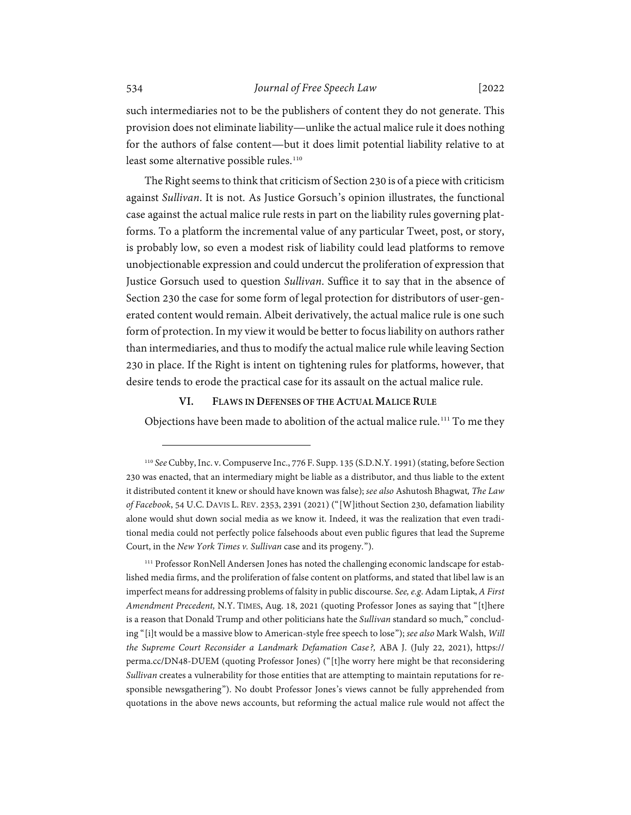such intermediaries not to be the publishers of content they do not generate. This provision does not eliminate liability—unlike the actual malice rule it does nothing for the authors of false content—but it does limit potential liability relative to at least some alternative possible rules.<sup>[110](#page-25-1)</sup>

The Right seems to think that criticism of Section 230 is of a piece with criticism against *Sullivan*. It is not. As Justice Gorsuch's opinion illustrates, the functional case against the actual malice rule rests in part on the liability rules governing platforms. To a platform the incremental value of any particular Tweet, post, or story, is probably low, so even a modest risk of liability could lead platforms to remove unobjectionable expression and could undercut the proliferation of expression that Justice Gorsuch used to question *Sullivan*. Suffice it to say that in the absence of Section 230 the case for some form of legal protection for distributors of user-generated content would remain. Albeit derivatively, the actual malice rule is one such form of protection. In my view it would be better to focus liability on authors rather than intermediaries, and thus to modify the actual malice rule while leaving Section 230 in place. If the Right is intent on tightening rules for platforms, however, that desire tends to erode the practical case for its assault on the actual malice rule.

## **VI. FLAWS IN DEFENSES OF THE ACTUAL MALICE RULE**

<span id="page-25-0"></span>Objections have been made to abolition of the actual malice rule. [111](#page-25-2) To me they

<span id="page-25-1"></span><sup>110</sup> *See* Cubby, Inc. v. Compuserve Inc., 776 F. Supp. 135 (S.D.N.Y. 1991) (stating, before Section 230 was enacted, that an intermediary might be liable as a distributor, and thus liable to the extent it distributed content it knew or should have known was false); *see also* Ashutosh Bhagwat*, The Law of Facebook*, 54 U.C. DAVIS L. REV. 2353, 2391 (2021) ("[W]ithout Section 230, defamation liability alone would shut down social media as we know it. Indeed, it was the realization that even traditional media could not perfectly police falsehoods about even public figures that lead the Supreme Court, in the *New York Times v. Sullivan* case and its progeny.").

<span id="page-25-2"></span><sup>&</sup>lt;sup>111</sup> Professor RonNell Andersen Jones has noted the challenging economic landscape for established media firms, and the proliferation of false content on platforms, and stated that libel law is an imperfect means for addressing problems of falsity in public discourse. *See, e.g*. Adam Liptak, *A First Amendment Precedent,* N.Y. TIMES, Aug. 18, 2021 (quoting Professor Jones as saying that "[t]here is a reason that Donald Trump and other politicians hate the *Sullivan* standard so much," concluding "[i]t would be a massive blow to American-style free speech to lose"); *see also* Mark Walsh, *Will the Supreme Court Reconsider a Landmark Defamation Case?,* ABA J. (July 22, 2021), https:// perma.cc/DN48-DUEM (quoting Professor Jones) ("[t]he worry here might be that reconsidering *Sullivan* creates a vulnerability for those entities that are attempting to maintain reputations for responsible newsgathering"). No doubt Professor Jones's views cannot be fully apprehended from quotations in the above news accounts, but reforming the actual malice rule would not affect the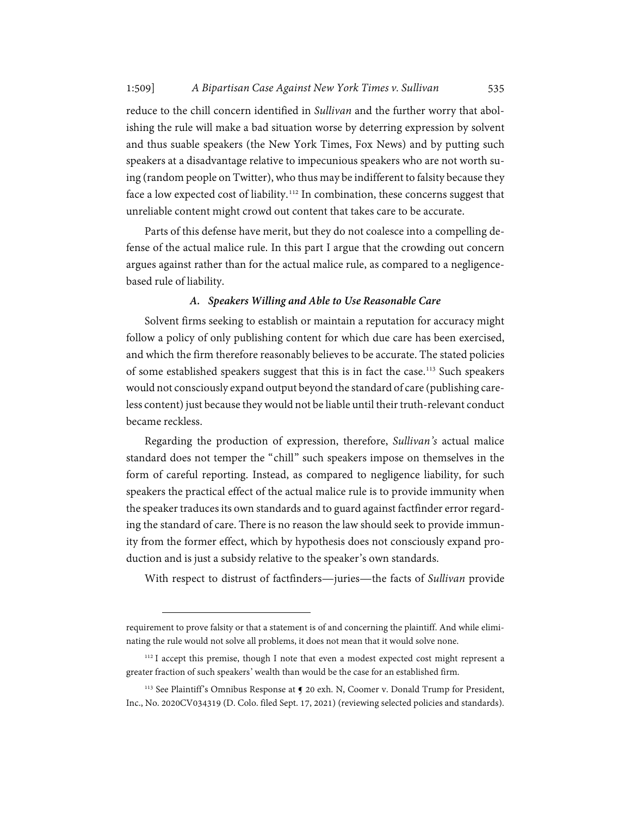reduce to the chill concern identified in *Sullivan* and the further worry that abolishing the rule will make a bad situation worse by deterring expression by solvent and thus suable speakers (the New York Times, Fox News) and by putting such speakers at a disadvantage relative to impecunious speakers who are not worth suing (random people on Twitter), who thus may be indifferent to falsity because they face a low expected cost of liability.<sup>[112](#page-26-1)</sup> In combination, these concerns suggest that unreliable content might crowd out content that takes care to be accurate.

Parts of this defense have merit, but they do not coalesce into a compelling defense of the actual malice rule. In this part I argue that the crowding out concern argues against rather than for the actual malice rule, as compared to a negligencebased rule of liability.

## *A. Speakers Willing and Able to Use Reasonable Care*

<span id="page-26-0"></span>Solvent firms seeking to establish or maintain a reputation for accuracy might follow a policy of only publishing content for which due care has been exercised, and which the firm therefore reasonably believes to be accurate. The stated policies of some established speakers suggest that this is in fact the case.<sup>[113](#page-26-2)</sup> Such speakers would not consciously expand output beyond the standard of care (publishing careless content) just because they would not be liable until their truth-relevant conduct became reckless.

Regarding the production of expression, therefore, *Sullivan's* actual malice standard does not temper the "chill" such speakers impose on themselves in the form of careful reporting. Instead, as compared to negligence liability, for such speakers the practical effect of the actual malice rule is to provide immunity when the speaker traduces its own standards and to guard against factfinder error regarding the standard of care. There is no reason the law should seek to provide immunity from the former effect, which by hypothesis does not consciously expand production and is just a subsidy relative to the speaker's own standards.

With respect to distrust of factfinders—juries—the facts of *Sullivan* provide

requirement to prove falsity or that a statement is of and concerning the plaintiff. And while eliminating the rule would not solve all problems, it does not mean that it would solve none.

<span id="page-26-1"></span><sup>&</sup>lt;sup>112</sup> I accept this premise, though I note that even a modest expected cost might represent a greater fraction of such speakers' wealth than would be the case for an established firm.

<span id="page-26-2"></span><sup>&</sup>lt;sup>113</sup> See Plaintiff's Omnibus Response at  $\bigcirc$  20 exh. N, Coomer v. Donald Trump for President, Inc., No. 2020CV034319 (D. Colo. filed Sept. 17, 2021) (reviewing selected policies and standards).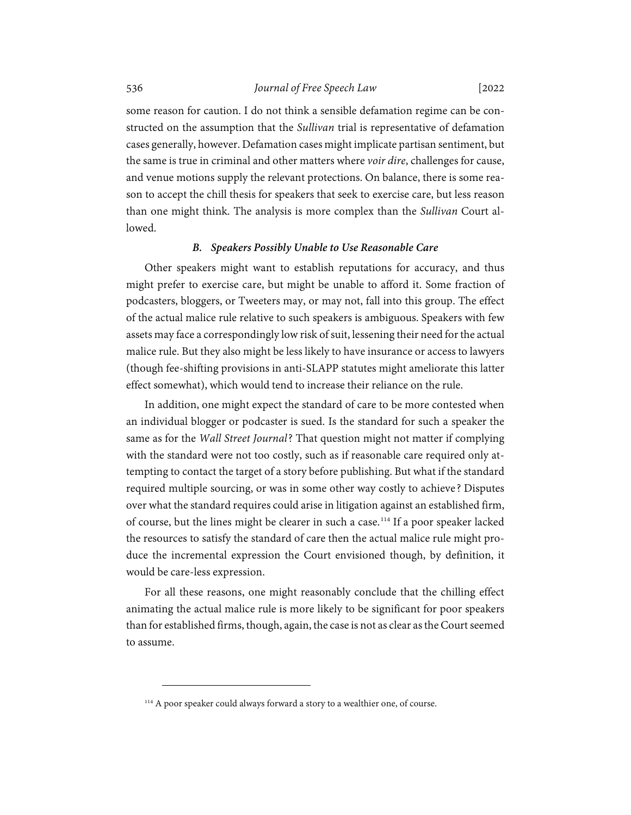some reason for caution. I do not think a sensible defamation regime can be constructed on the assumption that the *Sullivan* trial is representative of defamation cases generally, however. Defamation cases might implicate partisan sentiment, but the same is true in criminal and other matters where *voir dire*, challenges for cause, and venue motions supply the relevant protections. On balance, there is some reason to accept the chill thesis for speakers that seek to exercise care, but less reason than one might think. The analysis is more complex than the *Sullivan* Court allowed.

## *B. Speakers Possibly Unable to Use Reasonable Care*

<span id="page-27-0"></span>Other speakers might want to establish reputations for accuracy, and thus might prefer to exercise care, but might be unable to afford it. Some fraction of podcasters, bloggers, or Tweeters may, or may not, fall into this group. The effect of the actual malice rule relative to such speakers is ambiguous. Speakers with few assets may face a correspondingly low risk of suit, lessening their need for the actual malice rule. But they also might be less likely to have insurance or access to lawyers (though fee-shifting provisions in anti-SLAPP statutes might ameliorate this latter effect somewhat), which would tend to increase their reliance on the rule.

In addition, one might expect the standard of care to be more contested when an individual blogger or podcaster is sued. Is the standard for such a speaker the same as for the *Wall Street Journal*? That question might not matter if complying with the standard were not too costly, such as if reasonable care required only attempting to contact the target of a story before publishing. But what if the standard required multiple sourcing, or was in some other way costly to achieve? Disputes over what the standard requires could arise in litigation against an established firm, of course, but the lines might be clearer in such a case.<sup>[114](#page-27-1)</sup> If a poor speaker lacked the resources to satisfy the standard of care then the actual malice rule might produce the incremental expression the Court envisioned though, by definition, it would be care-less expression.

For all these reasons, one might reasonably conclude that the chilling effect animating the actual malice rule is more likely to be significant for poor speakers than for established firms, though, again, the case is not as clear as the Court seemed to assume.

<span id="page-27-1"></span><sup>&</sup>lt;sup>114</sup> A poor speaker could always forward a story to a wealthier one, of course.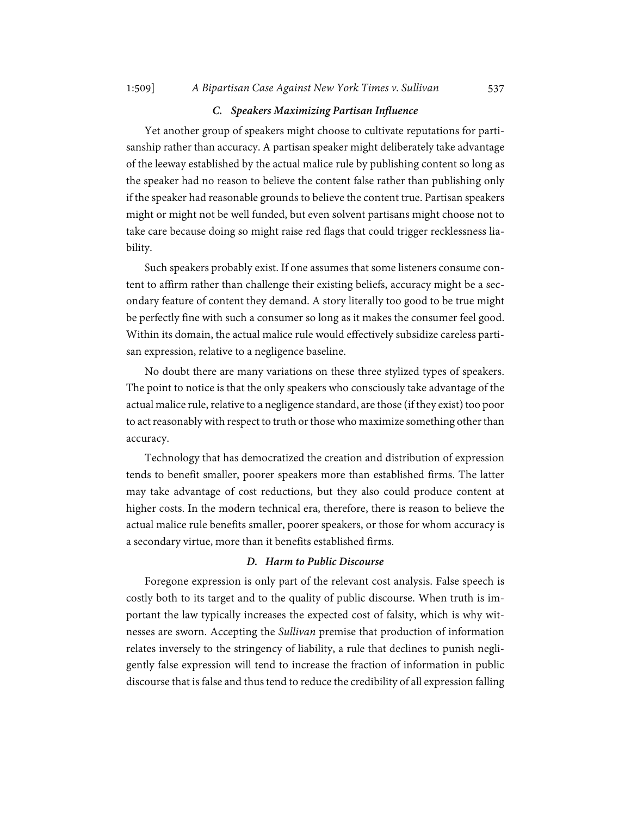#### *C. Speakers Maximizing Partisan Influence*

<span id="page-28-0"></span>Yet another group of speakers might choose to cultivate reputations for partisanship rather than accuracy. A partisan speaker might deliberately take advantage of the leeway established by the actual malice rule by publishing content so long as the speaker had no reason to believe the content false rather than publishing only if the speaker had reasonable grounds to believe the content true. Partisan speakers might or might not be well funded, but even solvent partisans might choose not to take care because doing so might raise red flags that could trigger recklessness liability.

Such speakers probably exist. If one assumes that some listeners consume content to affirm rather than challenge their existing beliefs, accuracy might be a secondary feature of content they demand. A story literally too good to be true might be perfectly fine with such a consumer so long as it makes the consumer feel good. Within its domain, the actual malice rule would effectively subsidize careless partisan expression, relative to a negligence baseline.

No doubt there are many variations on these three stylized types of speakers. The point to notice is that the only speakers who consciously take advantage of the actual malice rule, relative to a negligence standard, are those (if they exist) too poor to act reasonably with respect to truth or those who maximize something other than accuracy.

Technology that has democratized the creation and distribution of expression tends to benefit smaller, poorer speakers more than established firms. The latter may take advantage of cost reductions, but they also could produce content at higher costs. In the modern technical era, therefore, there is reason to believe the actual malice rule benefits smaller, poorer speakers, or those for whom accuracy is a secondary virtue, more than it benefits established firms.

### *D. Harm to Public Discourse*

<span id="page-28-1"></span>Foregone expression is only part of the relevant cost analysis. False speech is costly both to its target and to the quality of public discourse. When truth is important the law typically increases the expected cost of falsity, which is why witnesses are sworn. Accepting the *Sullivan* premise that production of information relates inversely to the stringency of liability, a rule that declines to punish negligently false expression will tend to increase the fraction of information in public discourse that is false and thus tend to reduce the credibility of all expression falling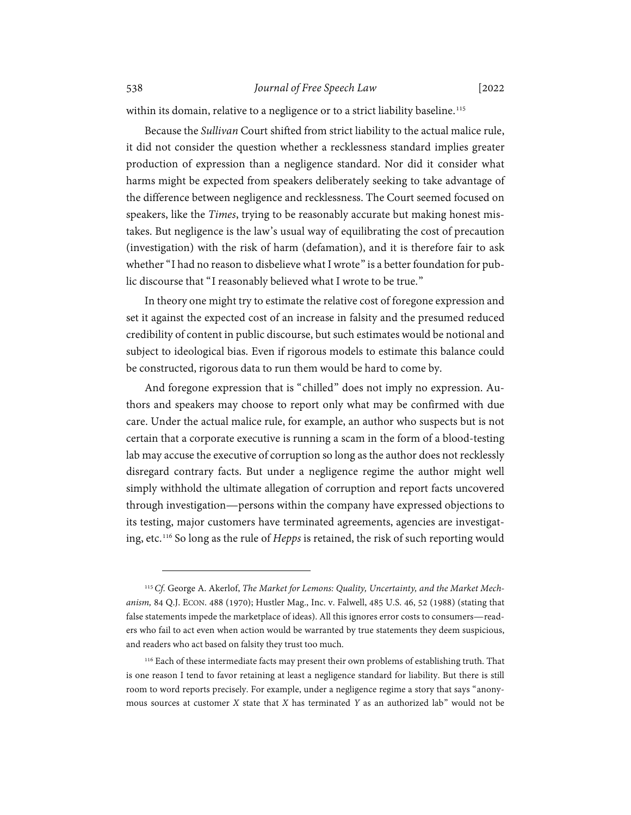within its domain, relative to a negligence or to a strict liability baseline. [115](#page-29-0)

Because the *Sullivan* Court shifted from strict liability to the actual malice rule, it did not consider the question whether a recklessness standard implies greater production of expression than a negligence standard. Nor did it consider what harms might be expected from speakers deliberately seeking to take advantage of the difference between negligence and recklessness. The Court seemed focused on speakers, like the *Times*, trying to be reasonably accurate but making honest mistakes. But negligence is the law's usual way of equilibrating the cost of precaution (investigation) with the risk of harm (defamation), and it is therefore fair to ask whether "I had no reason to disbelieve what I wrote" is a better foundation for public discourse that "I reasonably believed what I wrote to be true."

In theory one might try to estimate the relative cost of foregone expression and set it against the expected cost of an increase in falsity and the presumed reduced credibility of content in public discourse, but such estimates would be notional and subject to ideological bias. Even if rigorous models to estimate this balance could be constructed, rigorous data to run them would be hard to come by.

And foregone expression that is "chilled" does not imply no expression. Authors and speakers may choose to report only what may be confirmed with due care. Under the actual malice rule, for example, an author who suspects but is not certain that a corporate executive is running a scam in the form of a blood-testing lab may accuse the executive of corruption so long as the author does not recklessly disregard contrary facts. But under a negligence regime the author might well simply withhold the ultimate allegation of corruption and report facts uncovered through investigation—persons within the company have expressed objections to its testing, major customers have terminated agreements, agencies are investigating, etc.[116](#page-29-1) So long as the rule of *Hepps* is retained, the risk of such reporting would

<span id="page-29-0"></span><sup>115</sup>*Cf.* George A. Akerlof, *The Market for Lemons: Quality, Uncertainty, and the Market Mechanism,* 84 Q.J. ECON. 488 (1970); Hustler Mag., Inc. v. Falwell, 485 U.S. 46, 52 (1988) (stating that false statements impede the marketplace of ideas). All this ignores error costs to consumers—readers who fail to act even when action would be warranted by true statements they deem suspicious, and readers who act based on falsity they trust too much.

<span id="page-29-1"></span><sup>&</sup>lt;sup>116</sup> Each of these intermediate facts may present their own problems of establishing truth. That is one reason I tend to favor retaining at least a negligence standard for liability. But there is still room to word reports precisely. For example, under a negligence regime a story that says "anonymous sources at customer *X* state that *X* has terminated *Y* as an authorized lab" would not be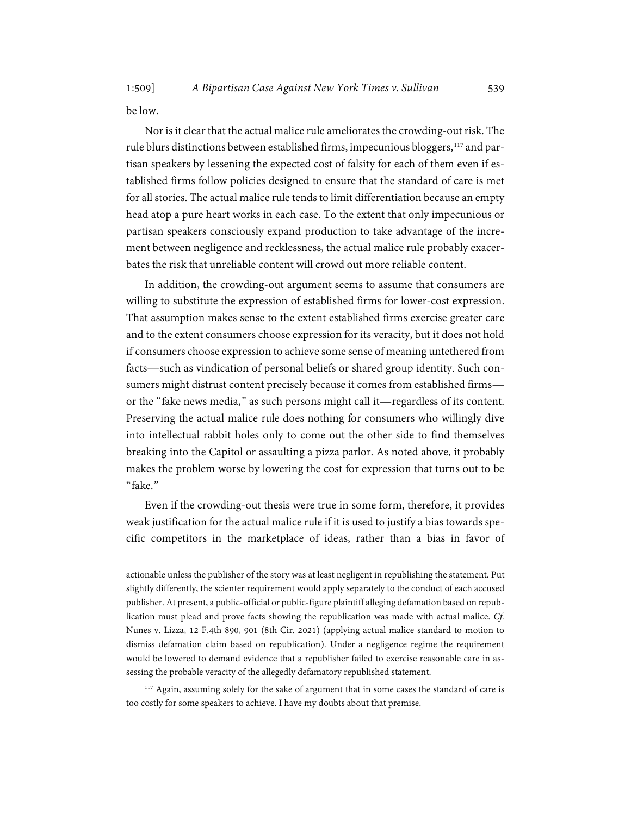be low.

Nor is it clear that the actual malice rule ameliorates the crowding-out risk. The rule blurs distinctions between established firms, impecunious bloggers, [117](#page-30-0) and partisan speakers by lessening the expected cost of falsity for each of them even if established firms follow policies designed to ensure that the standard of care is met for all stories. The actual malice rule tends to limit differentiation because an empty head atop a pure heart works in each case. To the extent that only impecunious or partisan speakers consciously expand production to take advantage of the increment between negligence and recklessness, the actual malice rule probably exacerbates the risk that unreliable content will crowd out more reliable content.

In addition, the crowding-out argument seems to assume that consumers are willing to substitute the expression of established firms for lower-cost expression. That assumption makes sense to the extent established firms exercise greater care and to the extent consumers choose expression for its veracity, but it does not hold if consumers choose expression to achieve some sense of meaning untethered from facts—such as vindication of personal beliefs or shared group identity. Such consumers might distrust content precisely because it comes from established firms or the "fake news media," as such persons might call it—regardless of its content. Preserving the actual malice rule does nothing for consumers who willingly dive into intellectual rabbit holes only to come out the other side to find themselves breaking into the Capitol or assaulting a pizza parlor. As noted above, it probably makes the problem worse by lowering the cost for expression that turns out to be "fake."

Even if the crowding-out thesis were true in some form, therefore, it provides weak justification for the actual malice rule if it is used to justify a bias towards specific competitors in the marketplace of ideas, rather than a bias in favor of

<span id="page-30-0"></span><sup>117</sup> Again, assuming solely for the sake of argument that in some cases the standard of care is too costly for some speakers to achieve. I have my doubts about that premise.

actionable unless the publisher of the story was at least negligent in republishing the statement. Put slightly differently, the scienter requirement would apply separately to the conduct of each accused publisher. At present, a public-official or public-figure plaintiff alleging defamation based on republication must plead and prove facts showing the republication was made with actual malice. *Cf.*  Nunes v. Lizza, 12 F.4th 890, 901 (8th Cir. 2021) (applying actual malice standard to motion to dismiss defamation claim based on republication). Under a negligence regime the requirement would be lowered to demand evidence that a republisher failed to exercise reasonable care in assessing the probable veracity of the allegedly defamatory republished statement.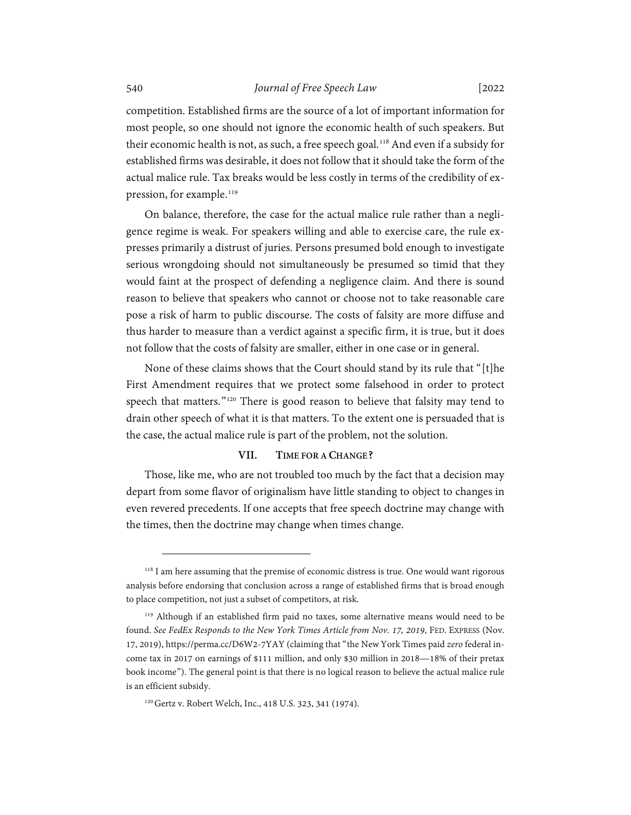competition. Established firms are the source of a lot of important information for most people, so one should not ignore the economic health of such speakers. But their economic health is not, as such, a free speech goal.<sup>[118](#page-31-1)</sup> And even if a subsidy for established firms was desirable, it does not follow that it should take the form of the actual malice rule. Tax breaks would be less costly in terms of the credibility of ex-pression, for example.<sup>[119](#page-31-2)</sup>

On balance, therefore, the case for the actual malice rule rather than a negligence regime is weak. For speakers willing and able to exercise care, the rule expresses primarily a distrust of juries. Persons presumed bold enough to investigate serious wrongdoing should not simultaneously be presumed so timid that they would faint at the prospect of defending a negligence claim. And there is sound reason to believe that speakers who cannot or choose not to take reasonable care pose a risk of harm to public discourse. The costs of falsity are more diffuse and thus harder to measure than a verdict against a specific firm, it is true, but it does not follow that the costs of falsity are smaller, either in one case or in general.

None of these claims shows that the Court should stand by its rule that "[t]he First Amendment requires that we protect some falsehood in order to protect speech that matters."<sup>[120](#page-31-3)</sup> There is good reason to believe that falsity may tend to drain other speech of what it is that matters. To the extent one is persuaded that is the case, the actual malice rule is part of the problem, not the solution.

### **VII. TIME FOR A CHANGE?**

<span id="page-31-0"></span>Those, like me, who are not troubled too much by the fact that a decision may depart from some flavor of originalism have little standing to object to changes in even revered precedents. If one accepts that free speech doctrine may change with the times, then the doctrine may change when times change.

<span id="page-31-1"></span><sup>&</sup>lt;sup>118</sup> I am here assuming that the premise of economic distress is true. One would want rigorous analysis before endorsing that conclusion across a range of established firms that is broad enough to place competition, not just a subset of competitors, at risk.

<span id="page-31-2"></span><sup>119</sup> Although if an established firm paid no taxes, some alternative means would need to be found. *See FedEx Responds to the New York Times Article from Nov. 17, 2019*, FED. EXPRESS (Nov. 17, 2019), https://perma.cc/D6W2-7YAY (claiming that "the New York Times paid *zero* federal income tax in 2017 on earnings of \$111 million, and only \$30 million in 2018—18% of their pretax book income"). The general point is that there is no logical reason to believe the actual malice rule is an efficient subsidy.

<span id="page-31-3"></span><sup>120</sup>Gertz v. Robert Welch, Inc., 418 U.S. 323, 341 (1974).